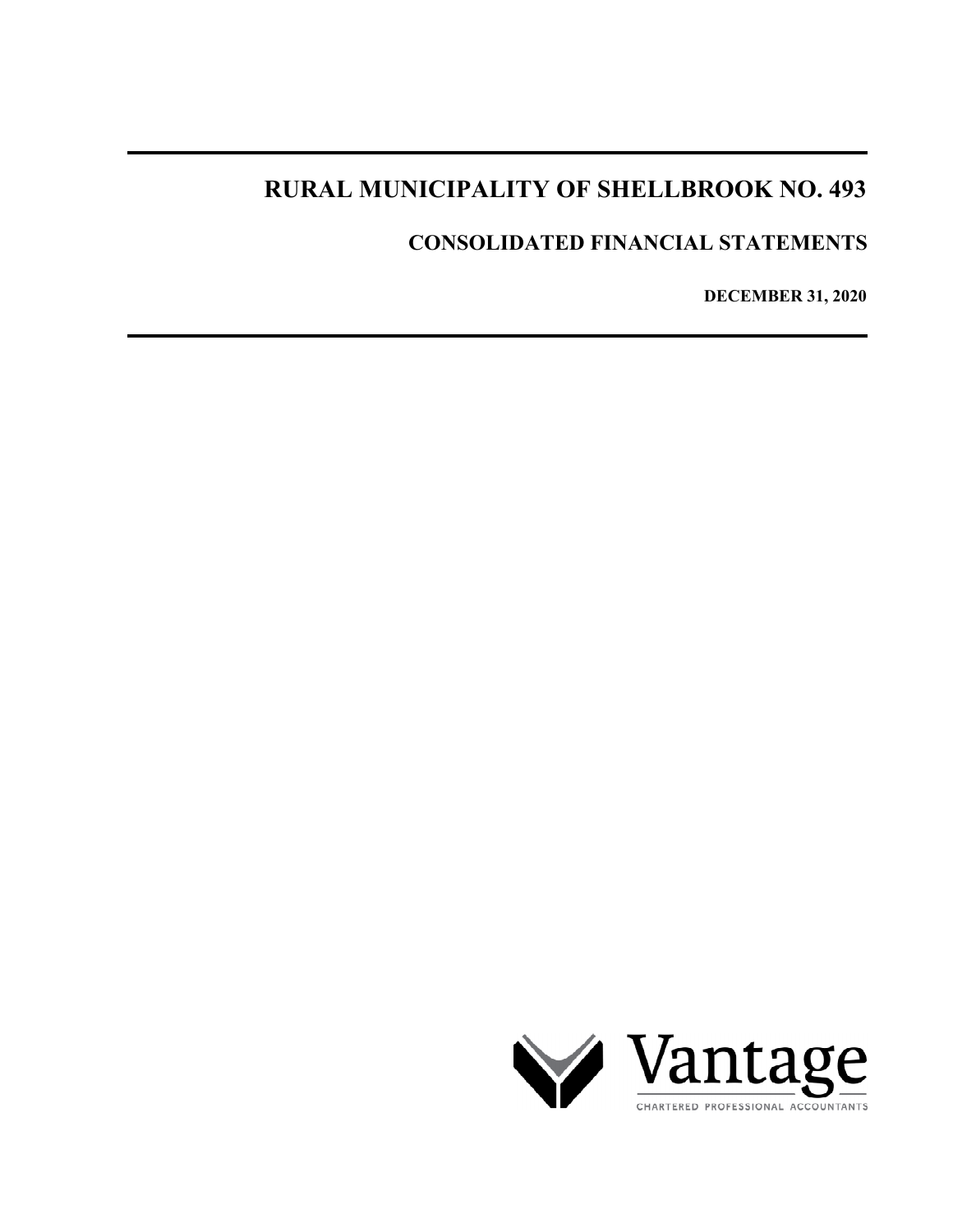# **RURAL MUNICIPALITY OF SHELLBROOK NO. 493**

# **CONSOLIDATED FINANCIAL STATEMENTS**

**DECEMBER 31, 2020**

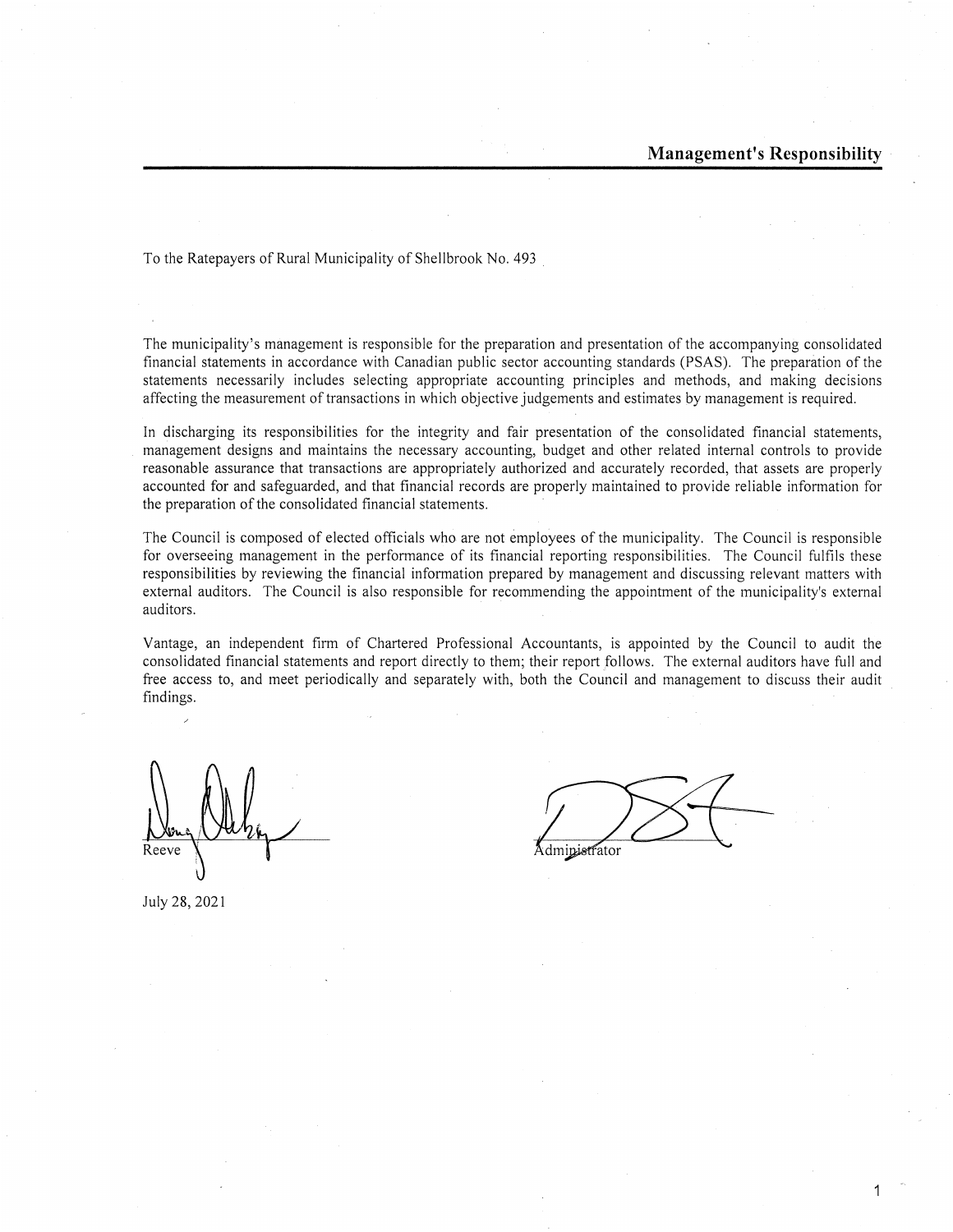To the Ratepayers of Rural Municipality of Shellbrook No. 493

The municipality's management is responsible for the preparation and presentation of the accompanying consolidated financial statements in accordance with Canadian public sector accounting standards (PSAS). The preparation of the statements necessarily includes selecting appropriate accounting principles and methods, and making decisions affecting the measurement of transactions in which objective judgements and estimates by management is required.

In discharging its responsibilities for the integrity and fair presentation of the consolidated financial statements, management designs and maintains the necessary accounting, budget and other related internal controls to provide reasonable assurance that transactions are appropriately authorized and accurately recorded, that assets are properly accounted for and safeguarded, and that financial records are properly maintained to provide reliable information for the preparation of the consolidated financial statements.

The Council is composed of elected officials who are not employees of the municipality. The Council is responsible for overseeing management in the performance of its financial reporting responsibilities. The Council fulfils these responsibilities by reviewing the financial information prepared by management and discussing relevant matters with external auditors. The Council is also responsible for recommending the appointment of the municipality's external auditors.

Vantage, an independent firm of Chartered Professional Accountants, is appointed by the Council to audit the consolidated financial statements and report directly to them; their report follows. The external auditors have full and free access to, and meet periodically and separately with, both the Council and management to discuss their audit findings.

Administrator

July 28, 2021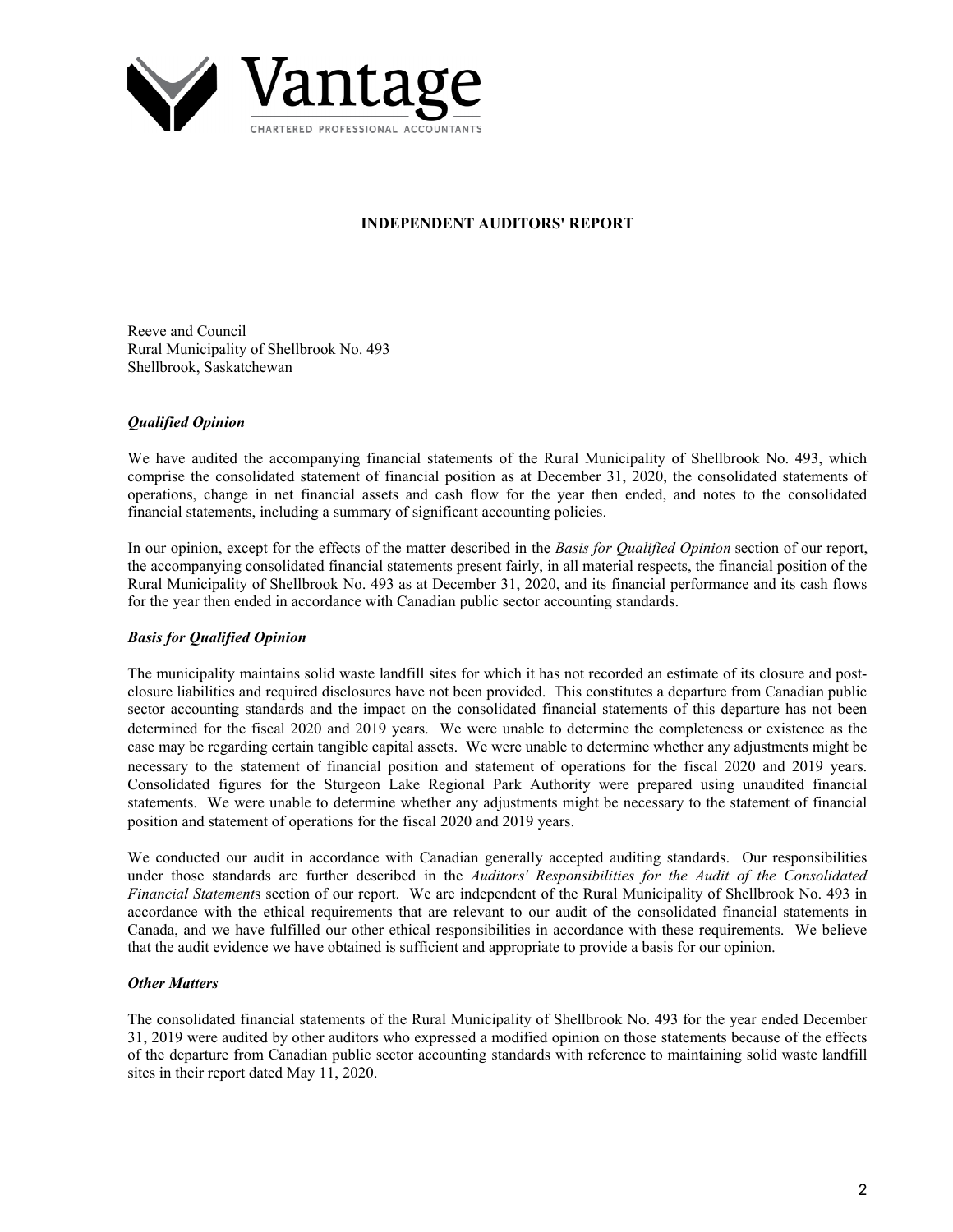

## **INDEPENDENT AUDITORS' REPORT**

Reeve and Council Rural Municipality of Shellbrook No. 493 Shellbrook, Saskatchewan

## *Qualified Opinion*

We have audited the accompanying financial statements of the Rural Municipality of Shellbrook No. 493, which comprise the consolidated statement of financial position as at December 31, 2020, the consolidated statements of operations, change in net financial assets and cash flow for the year then ended, and notes to the consolidated financial statements, including a summary of significant accounting policies.

In our opinion, except for the effects of the matter described in the *Basis for Qualified Opinion* section of our report, the accompanying consolidated financial statements present fairly, in all material respects, the financial position of the Rural Municipality of Shellbrook No. 493 as at December 31, 2020, and its financial performance and its cash flows for the year then ended in accordance with Canadian public sector accounting standards.

## *Basis for Qualified Opinion*

The municipality maintains solid waste landfill sites for which it has not recorded an estimate of its closure and postclosure liabilities and required disclosures have not been provided. This constitutes a departure from Canadian public sector accounting standards and the impact on the consolidated financial statements of this departure has not been determined for the fiscal 2020 and 2019 years. We were unable to determine the completeness or existence as the case may be regarding certain tangible capital assets. We were unable to determine whether any adjustments might be necessary to the statement of financial position and statement of operations for the fiscal 2020 and 2019 years. Consolidated figures for the Sturgeon Lake Regional Park Authority were prepared using unaudited financial statements. We were unable to determine whether any adjustments might be necessary to the statement of financial position and statement of operations for the fiscal 2020 and 2019 years.

We conducted our audit in accordance with Canadian generally accepted auditing standards. Our responsibilities under those standards are further described in the *Auditors' Responsibilities for the Audit of the Consolidated Financial Statement*s section of our report. We are independent of the Rural Municipality of Shellbrook No. 493 in accordance with the ethical requirements that are relevant to our audit of the consolidated financial statements in Canada, and we have fulfilled our other ethical responsibilities in accordance with these requirements. We believe that the audit evidence we have obtained is sufficient and appropriate to provide a basis for our opinion.

## *Other Matters*

The consolidated financial statements of the Rural Municipality of Shellbrook No. 493 for the year ended December 31, 2019 were audited by other auditors who expressed a modified opinion on those statements because of the effects of the departure from Canadian public sector accounting standards with reference to maintaining solid waste landfill sites in their report dated May 11, 2020.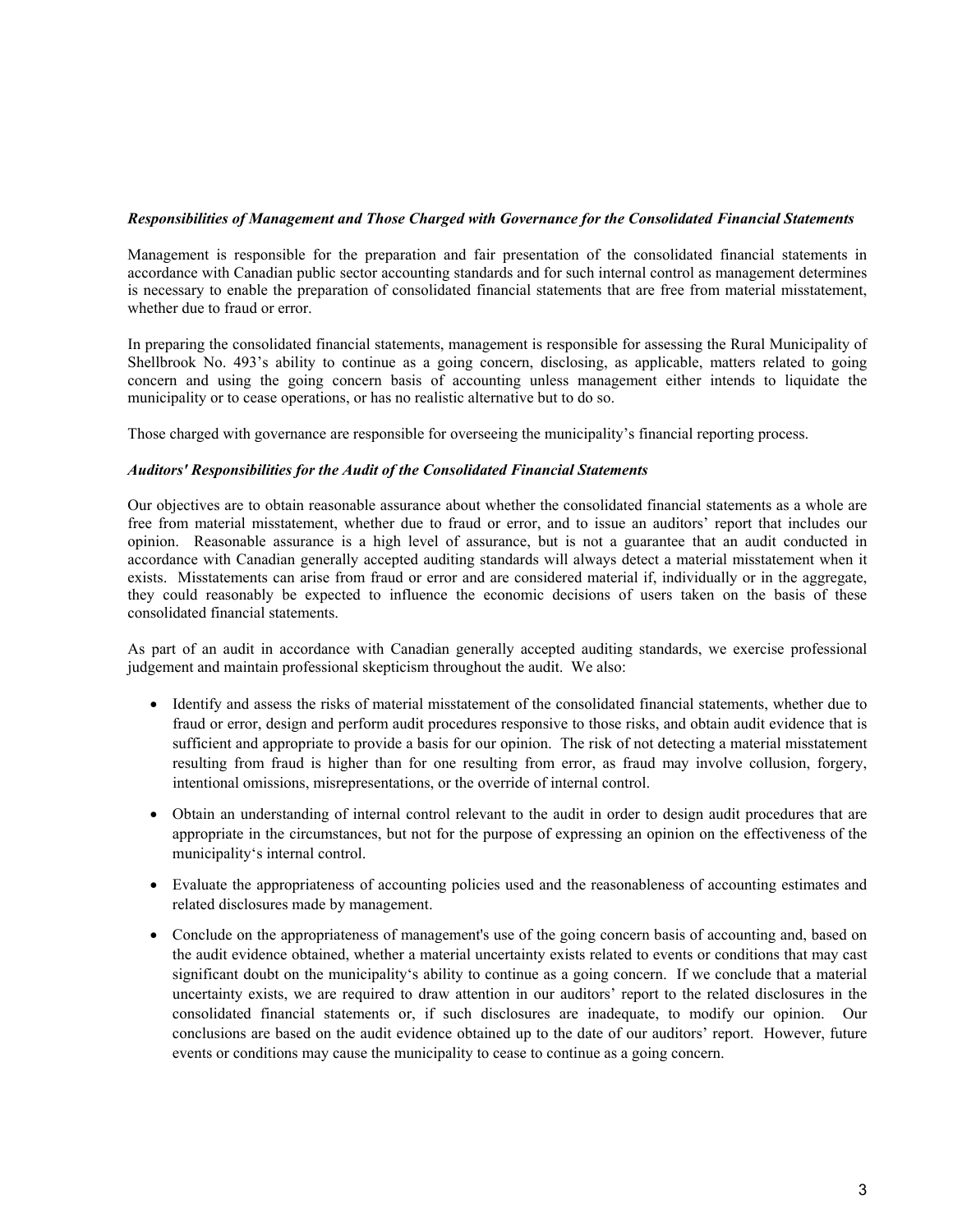## *Responsibilities of Management and Those Charged with Governance for the Consolidated Financial Statements*

Management is responsible for the preparation and fair presentation of the consolidated financial statements in accordance with Canadian public sector accounting standards and for such internal control as management determines is necessary to enable the preparation of consolidated financial statements that are free from material misstatement, whether due to fraud or error.

In preparing the consolidated financial statements, management is responsible for assessing the Rural Municipality of Shellbrook No. 493's ability to continue as a going concern, disclosing, as applicable, matters related to going concern and using the going concern basis of accounting unless management either intends to liquidate the municipality or to cease operations, or has no realistic alternative but to do so.

Those charged with governance are responsible for overseeing the municipality's financial reporting process.

### *Auditors' Responsibilities for the Audit of the Consolidated Financial Statements*

Our objectives are to obtain reasonable assurance about whether the consolidated financial statements as a whole are free from material misstatement, whether due to fraud or error, and to issue an auditors' report that includes our opinion. Reasonable assurance is a high level of assurance, but is not a guarantee that an audit conducted in accordance with Canadian generally accepted auditing standards will always detect a material misstatement when it exists. Misstatements can arise from fraud or error and are considered material if, individually or in the aggregate, they could reasonably be expected to influence the economic decisions of users taken on the basis of these consolidated financial statements.

As part of an audit in accordance with Canadian generally accepted auditing standards, we exercise professional judgement and maintain professional skepticism throughout the audit. We also:

- Identify and assess the risks of material misstatement of the consolidated financial statements, whether due to fraud or error, design and perform audit procedures responsive to those risks, and obtain audit evidence that is sufficient and appropriate to provide a basis for our opinion. The risk of not detecting a material misstatement resulting from fraud is higher than for one resulting from error, as fraud may involve collusion, forgery, intentional omissions, misrepresentations, or the override of internal control.
- Obtain an understanding of internal control relevant to the audit in order to design audit procedures that are appropriate in the circumstances, but not for the purpose of expressing an opinion on the effectiveness of the municipality's internal control.
- Evaluate the appropriateness of accounting policies used and the reasonableness of accounting estimates and related disclosures made by management.
- Conclude on the appropriateness of management's use of the going concern basis of accounting and, based on the audit evidence obtained, whether a material uncertainty exists related to events or conditions that may cast significant doubt on the municipality's ability to continue as a going concern. If we conclude that a material uncertainty exists, we are required to draw attention in our auditors' report to the related disclosures in the consolidated financial statements or, if such disclosures are inadequate, to modify our opinion. Our conclusions are based on the audit evidence obtained up to the date of our auditors' report. However, future events or conditions may cause the municipality to cease to continue as a going concern.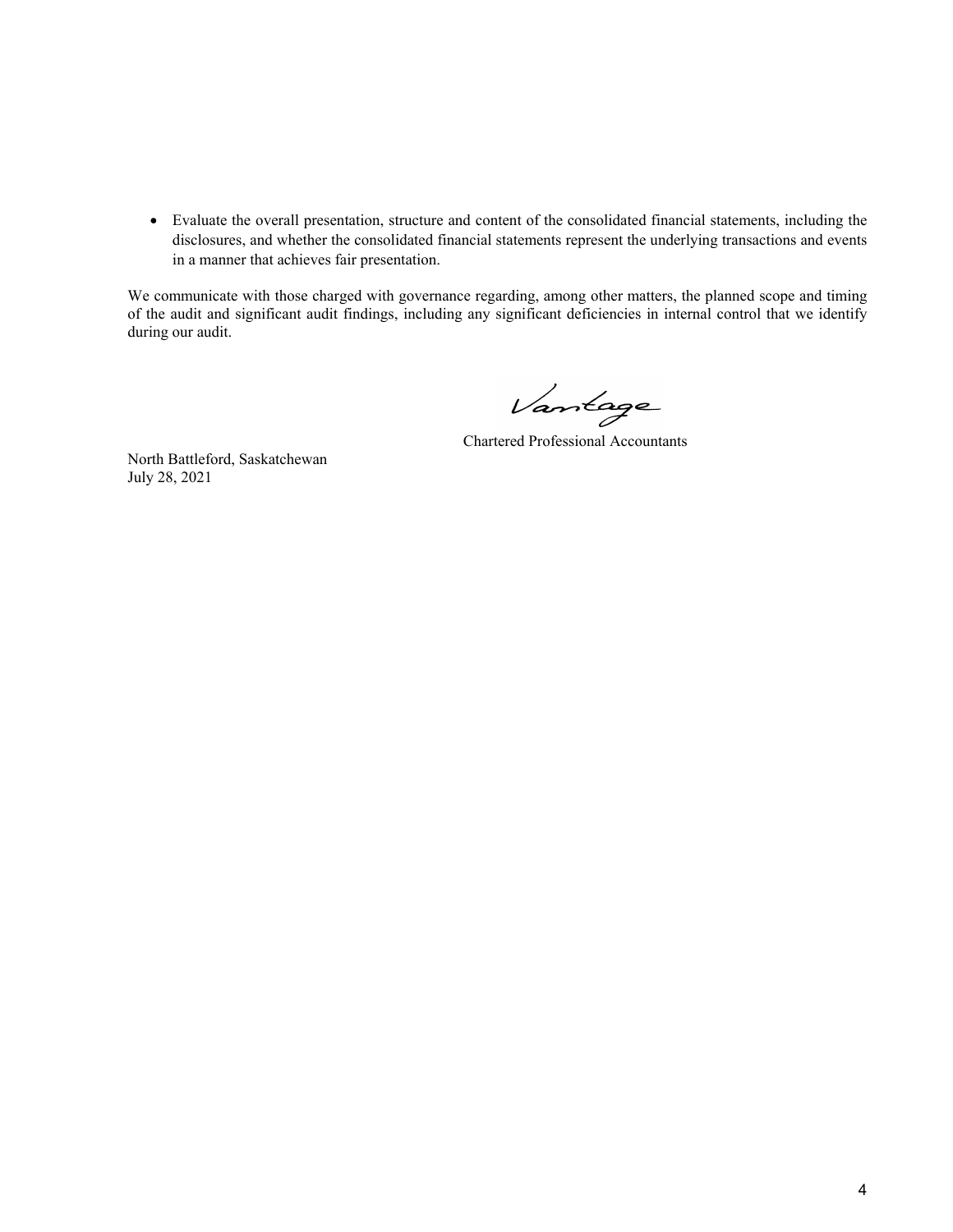Evaluate the overall presentation, structure and content of the consolidated financial statements, including the disclosures, and whether the consolidated financial statements represent the underlying transactions and events in a manner that achieves fair presentation.

We communicate with those charged with governance regarding, among other matters, the planned scope and timing of the audit and significant audit findings, including any significant deficiencies in internal control that we identify during our audit.

Vantage

Chartered Professional Accountants

North Battleford, Saskatchewan July 28, 2021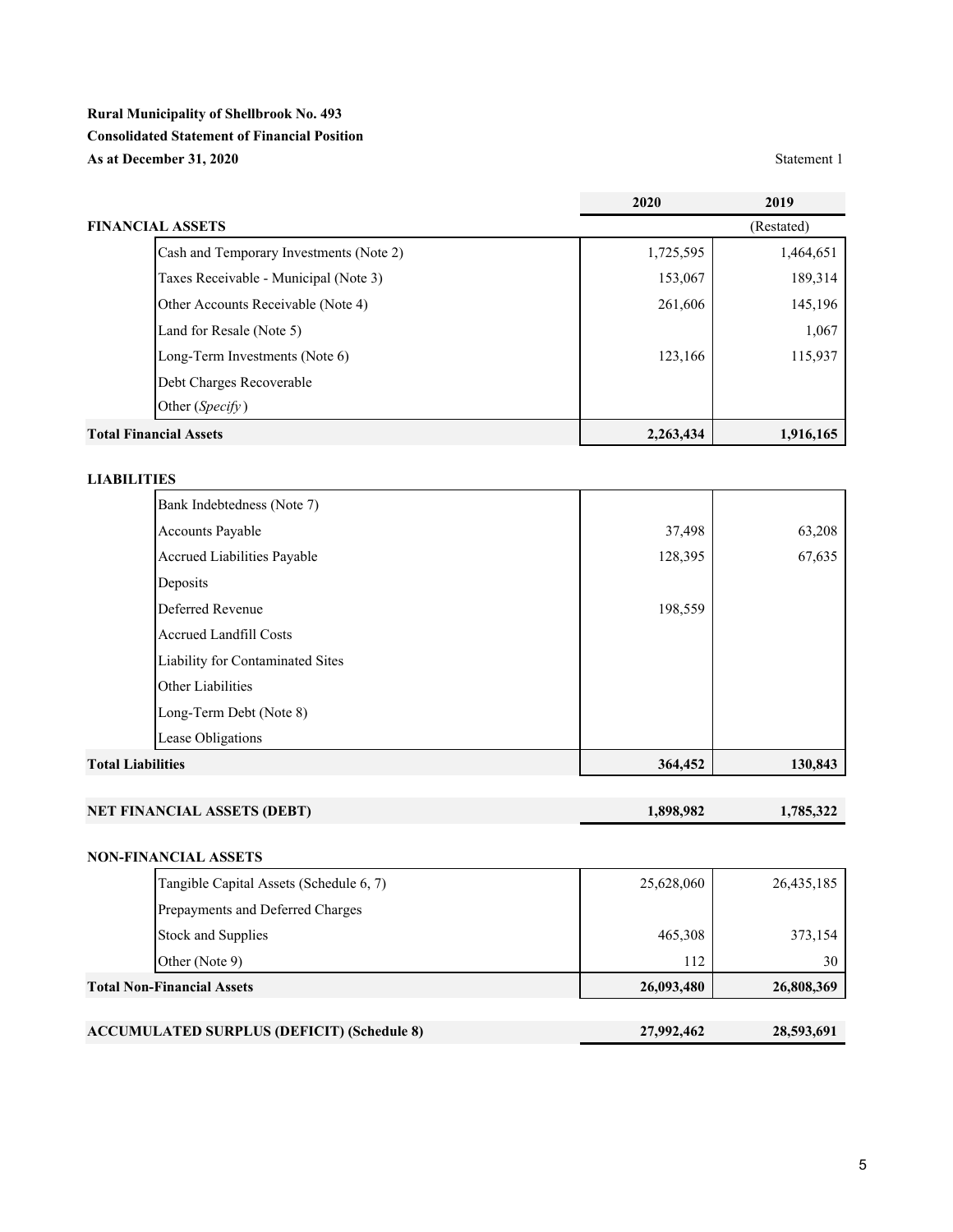## **Rural Municipality of Shellbrook No. 493 Consolidated Statement of Financial Position As at December 31, 2020** Statement 1

|                                         | 2020      | 2019       |
|-----------------------------------------|-----------|------------|
| <b>FINANCIAL ASSETS</b>                 |           | (Restated) |
| Cash and Temporary Investments (Note 2) | 1,725,595 | 1,464,651  |
| Taxes Receivable - Municipal (Note 3)   | 153,067   | 189,314    |
| Other Accounts Receivable (Note 4)      | 261,606   | 145,196    |
| Land for Resale (Note 5)                |           | 1,067      |
| Long-Term Investments (Note 6)          | 123,166   | 115,937    |
| Debt Charges Recoverable                |           |            |
| Other (Specify)                         |           |            |
| <b>Total Financial Assets</b>           | 2,263,434 | 1,916,165  |

## **LIABILITIES**

| <b>Total Liabilities</b> |                                  | 364,452 | 130,843 |
|--------------------------|----------------------------------|---------|---------|
|                          | Lease Obligations                |         |         |
|                          | Long-Term Debt (Note 8)          |         |         |
|                          | Other Liabilities                |         |         |
|                          | Liability for Contaminated Sites |         |         |
|                          | <b>Accrued Landfill Costs</b>    |         |         |
|                          | Deferred Revenue                 | 198,559 |         |
|                          | Deposits                         |         |         |
|                          | Accrued Liabilities Payable      | 128,395 | 67,635  |
|                          | Accounts Payable                 | 37,498  | 63,208  |
|                          | Bank Indebtedness (Note 7)       |         |         |

| <b>NET FINANCIAL ASSETS (DEBT)</b> | 1,898,982 | 1,785,322 |
|------------------------------------|-----------|-----------|
|                                    |           |           |

## **NON-FINANCIAL ASSETS**

| Tangible Capital Assets (Schedule 6, 7)           | 25,628,060 | 26,435,185 |
|---------------------------------------------------|------------|------------|
| Prepayments and Deferred Charges                  |            |            |
| <b>Stock and Supplies</b>                         | 465,308    | 373,154    |
| Other (Note 9)                                    | 112        | 30         |
| <b>Total Non-Financial Assets</b>                 | 26,093,480 | 26,808,369 |
|                                                   |            |            |
| <b>ACCUMULATED SURPLUS (DEFICIT) (Schedule 8)</b> | 27,992,462 | 28,593,691 |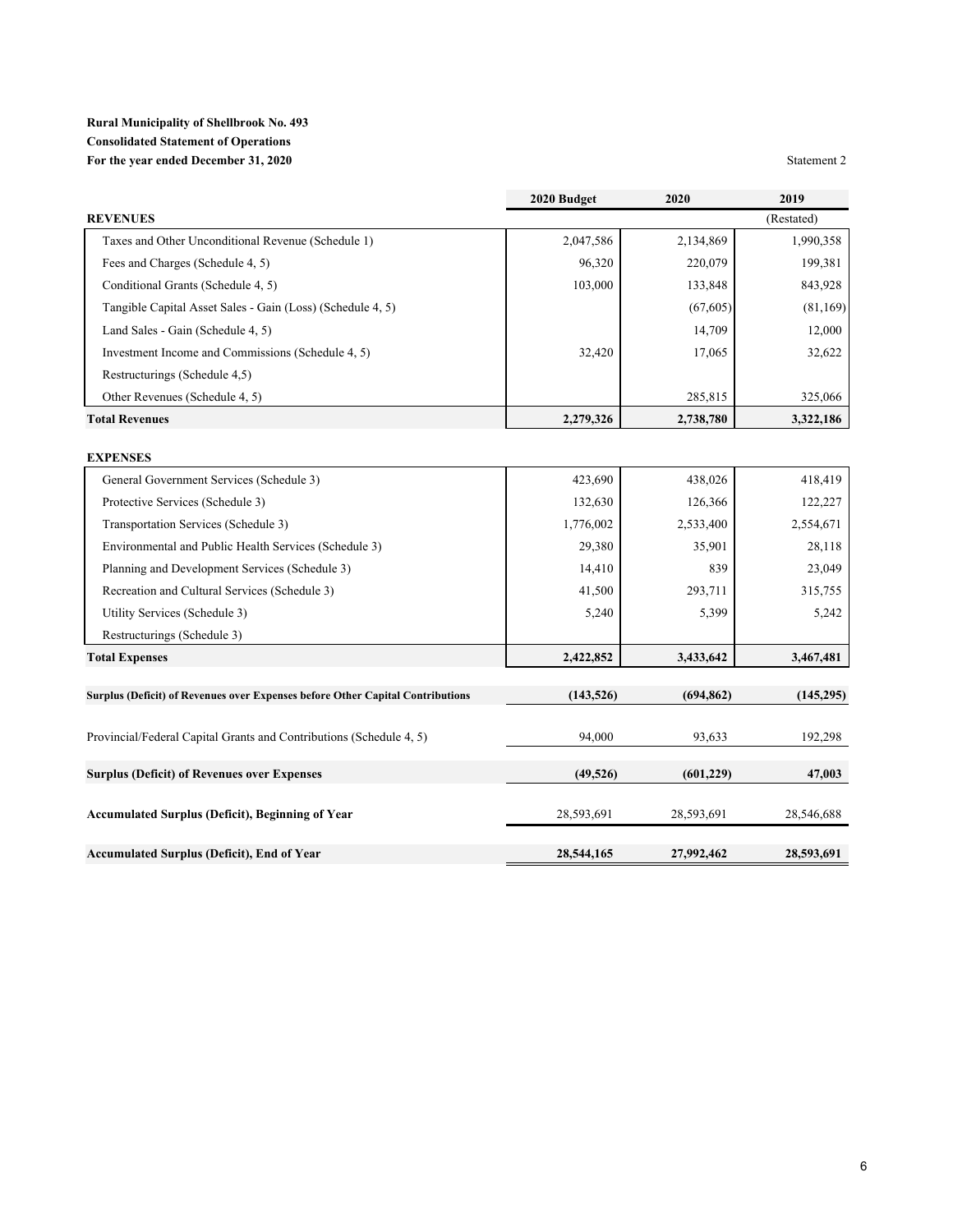## **Rural Municipality of Shellbrook No. 493 Consolidated Statement of Operations**  For the year ended December 31, 2020 Statement 2

|                                                                                | 2020 Budget | 2020       | 2019       |
|--------------------------------------------------------------------------------|-------------|------------|------------|
| <b>REVENUES</b>                                                                |             |            | (Restated) |
| Taxes and Other Unconditional Revenue (Schedule 1)                             | 2,047,586   | 2,134,869  | 1,990,358  |
| Fees and Charges (Schedule 4, 5)                                               | 96,320      | 220,079    | 199,381    |
| Conditional Grants (Schedule 4, 5)                                             | 103,000     | 133,848    | 843,928    |
| Tangible Capital Asset Sales - Gain (Loss) (Schedule 4, 5)                     |             | (67, 605)  | (81,169)   |
| Land Sales - Gain (Schedule 4, 5)                                              |             | 14,709     | 12,000     |
| Investment Income and Commissions (Schedule 4, 5)                              | 32,420      | 17,065     | 32,622     |
| Restructurings (Schedule 4,5)                                                  |             |            |            |
| Other Revenues (Schedule 4, 5)                                                 |             | 285,815    | 325,066    |
| <b>Total Revenues</b>                                                          | 2,279,326   | 2,738,780  | 3,322,186  |
| <b>EXPENSES</b>                                                                |             |            |            |
| General Government Services (Schedule 3)                                       | 423,690     | 438,026    | 418,419    |
| Protective Services (Schedule 3)                                               | 132,630     | 126,366    | 122,227    |
| Transportation Services (Schedule 3)                                           | 1,776,002   | 2,533,400  | 2,554,671  |
| Environmental and Public Health Services (Schedule 3)                          | 29,380      | 35,901     | 28,118     |
| Planning and Development Services (Schedule 3)                                 | 14,410      | 839        | 23,049     |
| Recreation and Cultural Services (Schedule 3)                                  | 41,500      | 293,711    | 315,755    |
| Utility Services (Schedule 3)                                                  | 5,240       | 5,399      | 5,242      |
| Restructurings (Schedule 3)                                                    |             |            |            |
| <b>Total Expenses</b>                                                          | 2,422,852   | 3,433,642  | 3,467,481  |
| Surplus (Deficit) of Revenues over Expenses before Other Capital Contributions | (143, 526)  | (694, 862) | (145, 295) |
|                                                                                |             |            |            |
| Provincial/Federal Capital Grants and Contributions (Schedule 4, 5)            | 94.000      | 93,633     | 192,298    |
| <b>Surplus (Deficit) of Revenues over Expenses</b>                             | (49, 526)   | (601, 229) | 47,003     |
| <b>Accumulated Surplus (Deficit), Beginning of Year</b>                        | 28,593,691  | 28,593,691 | 28,546,688 |
| <b>Accumulated Surplus (Deficit), End of Year</b>                              | 28,544,165  | 27,992,462 | 28,593,691 |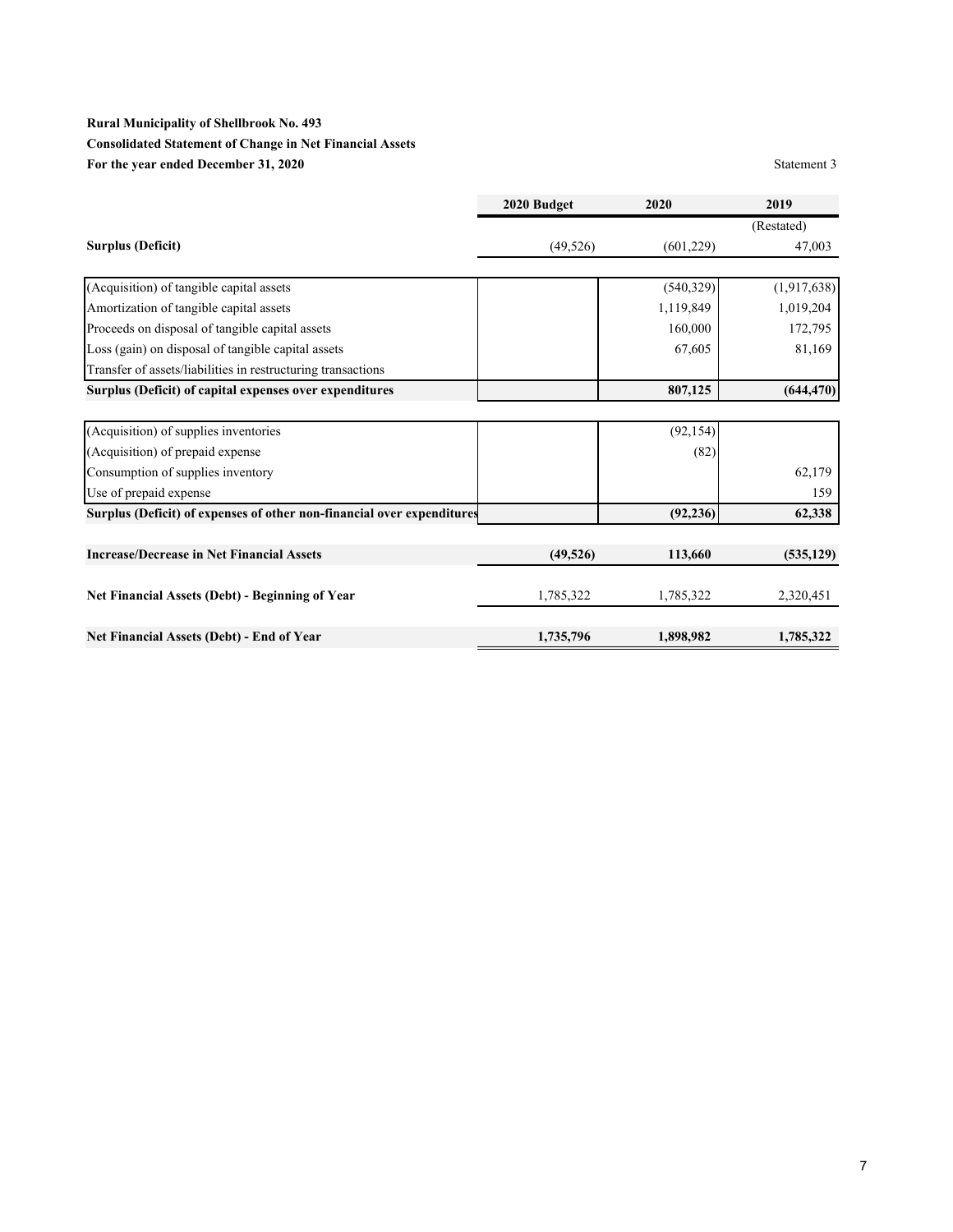## **Rural Municipality of Shellbrook No. 493 Consolidated Statement of Change in Net Financial Assets** For the year ended December 31, 2020 Statement 3

|                                                                        | 2020 Budget | 2020       | 2019        |
|------------------------------------------------------------------------|-------------|------------|-------------|
|                                                                        |             |            | (Restated)  |
| <b>Surplus (Deficit)</b>                                               | (49, 526)   | (601, 229) | 47,003      |
|                                                                        |             |            |             |
| (Acquisition) of tangible capital assets                               |             | (540, 329) | (1,917,638) |
| Amortization of tangible capital assets                                |             | 1,119,849  | 1,019,204   |
| Proceeds on disposal of tangible capital assets                        |             | 160,000    | 172,795     |
| Loss (gain) on disposal of tangible capital assets                     |             | 67,605     | 81,169      |
| Transfer of assets/liabilities in restructuring transactions           |             |            |             |
| Surplus (Deficit) of capital expenses over expenditures                |             | 807,125    | (644, 470)  |
|                                                                        |             |            |             |
| (Acquisition) of supplies inventories                                  |             | (92, 154)  |             |
| (Acquisition) of prepaid expense                                       |             | (82)       |             |
| Consumption of supplies inventory                                      |             |            | 62,179      |
| Use of prepaid expense                                                 |             |            | 159         |
| Surplus (Deficit) of expenses of other non-financial over expenditures |             | (92, 236)  | 62,338      |
|                                                                        |             |            |             |
| <b>Increase/Decrease in Net Financial Assets</b>                       | (49,526)    | 113,660    | (535, 129)  |
|                                                                        |             |            |             |
| <b>Net Financial Assets (Debt) - Beginning of Year</b>                 | 1,785,322   | 1,785,322  | 2,320,451   |
|                                                                        |             |            |             |
| <b>Net Financial Assets (Debt) - End of Year</b>                       | 1,735,796   | 1,898,982  | 1,785,322   |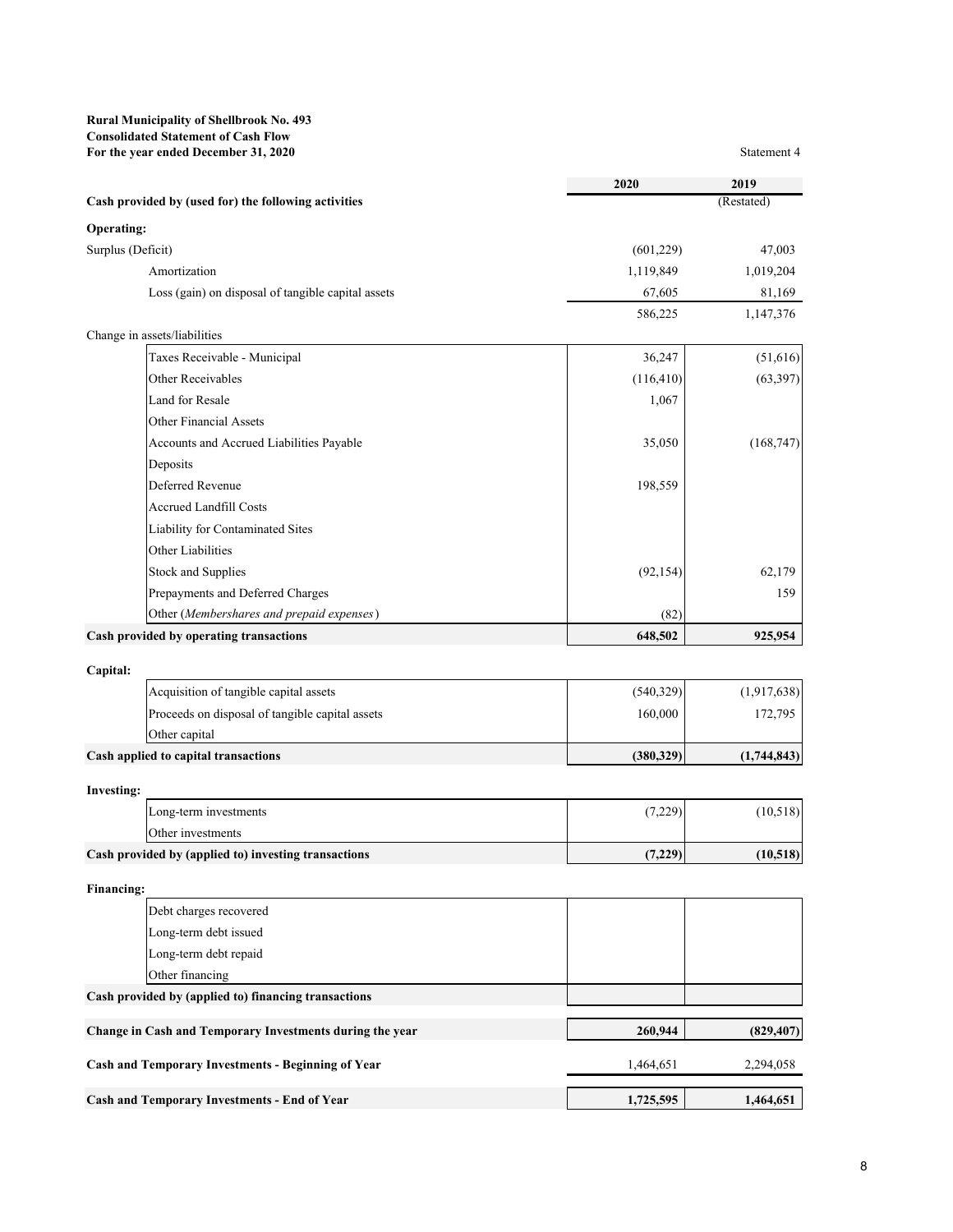#### **Rural Municipality of Shellbrook No. 493 Consolidated Statement of Cash Flow** For the year ended December 31, 2020

| Statement 4 |  |  |
|-------------|--|--|
|             |  |  |

|                                                          | 2020       | 2019        |
|----------------------------------------------------------|------------|-------------|
| Cash provided by (used for) the following activities     |            | (Restated)  |
| <b>Operating:</b>                                        |            |             |
| Surplus (Deficit)                                        | (601, 229) | 47,003      |
| Amortization                                             | 1,119,849  | 1,019,204   |
| Loss (gain) on disposal of tangible capital assets       | 67,605     | 81,169      |
|                                                          | 586,225    | 1,147,376   |
| Change in assets/liabilities                             |            |             |
| Taxes Receivable - Municipal                             | 36,247     | (51, 616)   |
| Other Receivables                                        | (116, 410) | (63, 397)   |
| Land for Resale                                          | 1,067      |             |
| <b>Other Financial Assets</b>                            |            |             |
| Accounts and Accrued Liabilities Payable                 | 35,050     | (168, 747)  |
| Deposits                                                 |            |             |
| Deferred Revenue                                         | 198,559    |             |
| <b>Accrued Landfill Costs</b>                            |            |             |
| Liability for Contaminated Sites                         |            |             |
| Other Liabilities                                        |            |             |
| <b>Stock and Supplies</b>                                | (92, 154)  | 62,179      |
| Prepayments and Deferred Charges                         |            | 159         |
| Other (Membershares and prepaid expenses)                | (82)       |             |
| Cash provided by operating transactions                  | 648,502    | 925,954     |
|                                                          |            |             |
| Capital:                                                 |            |             |
| Acquisition of tangible capital assets                   | (540, 329) | (1,917,638) |
| Proceeds on disposal of tangible capital assets          | 160,000    | 172,795     |
| Other capital                                            |            |             |
| Cash applied to capital transactions                     | (380, 329) | (1,744,843) |
| <b>Investing:</b>                                        |            |             |
| Long-term investments                                    | (7,229)    | (10, 518)   |
| Other investments                                        |            |             |
| Cash provided by (applied to) investing transactions     | (7,229)    |             |
|                                                          |            | (10, 518)   |
| <b>Financing:</b>                                        |            |             |
| Debt charges recovered                                   |            |             |
| Long-term debt issued                                    |            |             |
| Long-term debt repaid                                    |            |             |
| Other financing                                          |            |             |
| Cash provided by (applied to) financing transactions     |            |             |
| Change in Cash and Temporary Investments during the year | 260,944    | (829, 407)  |
|                                                          |            |             |
| Cash and Temporary Investments - Beginning of Year       | 1,464,651  | 2,294,058   |
| <b>Cash and Temporary Investments - End of Year</b>      | 1,725,595  | 1,464,651   |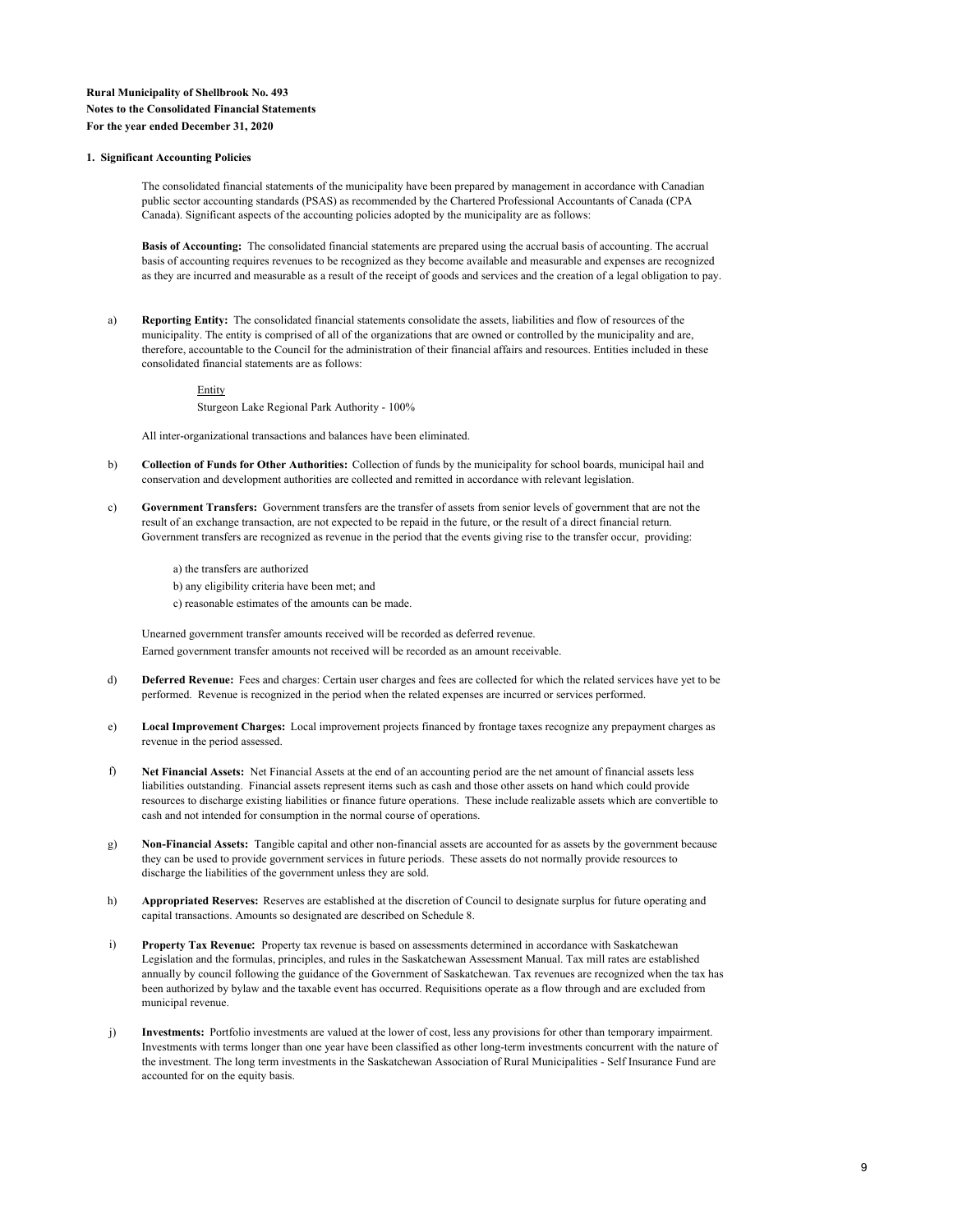#### **Rural Municipality of Shellbrook No. 493 Notes to the Consolidated Financial Statements For the year ended December 31, 2020**

#### **1. Significant Accounting Policies**

The consolidated financial statements of the municipality have been prepared by management in accordance with Canadian public sector accounting standards (PSAS) as recommended by the Chartered Professional Accountants of Canada (CPA Canada). Significant aspects of the accounting policies adopted by the municipality are as follows:

**Basis of Accounting:** The consolidated financial statements are prepared using the accrual basis of accounting. The accrual basis of accounting requires revenues to be recognized as they become available and measurable and expenses are recognized as they are incurred and measurable as a result of the receipt of goods and services and the creation of a legal obligation to pay.

**Reporting Entity:** The consolidated financial statements consolidate the assets, liabilities and flow of resources of the municipality. The entity is comprised of all of the organizations that are owned or controlled by the municipality and are, therefore, accountable to the Council for the administration of their financial affairs and resources. Entities included in these consolidated financial statements are as follows: a)

Entity

Sturgeon Lake Regional Park Authority - 100%

All inter-organizational transactions and balances have been eliminated.

- b) **Collection of Funds for Other Authorities:** Collection of funds by the municipality for school boards, municipal hail and conservation and development authorities are collected and remitted in accordance with relevant legislation.
- **Government Transfers:** Government transfers are the transfer of assets from senior levels of government that are not the result of an exchange transaction, are not expected to be repaid in the future, or the result of a direct financial return. Government transfers are recognized as revenue in the period that the events giving rise to the transfer occur, providing: c)
	- a) the transfers are authorized
	- b) any eligibility criteria have been met; and
	- c) reasonable estimates of the amounts can be made.

Unearned government transfer amounts received will be recorded as deferred revenue. Earned government transfer amounts not received will be recorded as an amount receivable.

- d) **Deferred Revenue:** Fees and charges: Certain user charges and fees are collected for which the related services have yet to be performed. Revenue is recognized in the period when the related expenses are incurred or services performed.
- **Local Improvement Charges:** Local improvement projects financed by frontage taxes recognize any prepayment charges as revenue in the period assessed. e)
- **Net Financial Assets:** Net Financial Assets at the end of an accounting period are the net amount of financial assets less liabilities outstanding. Financial assets represent items such as cash and those other assets on hand which could provide resources to discharge existing liabilities or finance future operations. These include realizable assets which are convertible to cash and not intended for consumption in the normal course of operations. f)
- g) **Non-Financial Assets:** Tangible capital and other non-financial assets are accounted for as assets by the government because they can be used to provide government services in future periods. These assets do not normally provide resources to discharge the liabilities of the government unless they are sold.
- **Appropriated Reserves:** Reserves are established at the discretion of Council to designate surplus for future operating and capital transactions. Amounts so designated are described on Schedule 8. h)
- i) **Property Tax Revenue:** Property tax revenue is based on assessments determined in accordance with Saskatchewan Legislation and the formulas, principles, and rules in the Saskatchewan Assessment Manual. Tax mill rates are established annually by council following the guidance of the Government of Saskatchewan. Tax revenues are recognized when the tax has been authorized by bylaw and the taxable event has occurred. Requisitions operate as a flow through and are excluded from municipal revenue.
- j) **Investments:** Portfolio investments are valued at the lower of cost, less any provisions for other than temporary impairment. Investments with terms longer than one year have been classified as other long-term investments concurrent with the nature of the investment. The long term investments in the Saskatchewan Association of Rural Municipalities - Self Insurance Fund are accounted for on the equity basis.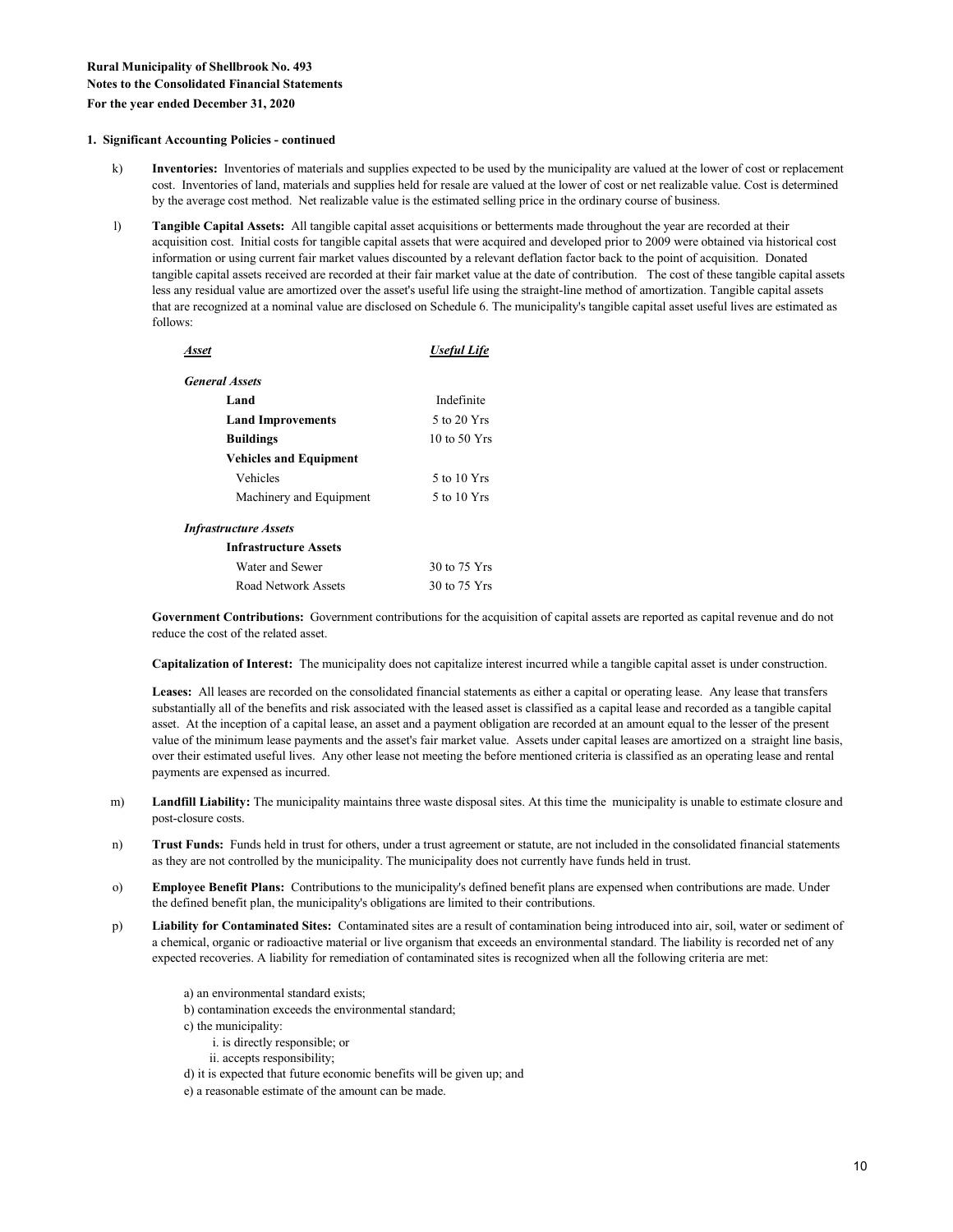#### **1. Significant Accounting Policies - continued**

- k) **Inventories:** Inventories of materials and supplies expected to be used by the municipality are valued at the lower of cost or replacement cost. Inventories of land, materials and supplies held for resale are valued at the lower of cost or net realizable value. Cost is determined by the average cost method. Net realizable value is the estimated selling price in the ordinary course of business.
- l) **Tangible Capital Assets:** All tangible capital asset acquisitions or betterments made throughout the year are recorded at their acquisition cost. Initial costs for tangible capital assets that were acquired and developed prior to 2009 were obtained via historical cost information or using current fair market values discounted by a relevant deflation factor back to the point of acquisition. Donated tangible capital assets received are recorded at their fair market value at the date of contribution. The cost of these tangible capital assets less any residual value are amortized over the asset's useful life using the straight-line method of amortization. Tangible capital assets that are recognized at a nominal value are disclosed on Schedule 6. The municipality's tangible capital asset useful lives are estimated as follows:

| Asset                         | Useful Life           |
|-------------------------------|-----------------------|
| <b>General Assets</b>         |                       |
| Land                          | Indefinite            |
| <b>Land Improvements</b>      | 5 to 20 Yrs           |
| <b>Buildings</b>              | $10$ to 50 Yrs        |
| <b>Vehicles and Equipment</b> |                       |
| Vehicles                      | 5 to $10 \text{ Yrs}$ |
| Machinery and Equipment       | 5 to 10 Yrs           |
| <b>Infrastructure Assets</b>  |                       |
| <b>Infrastructure Assets</b>  |                       |
| Water and Sewer               | 30 to 75 Yrs          |
| Road Network Assets           | 30 to 75 Yrs          |

**Government Contributions:** Government contributions for the acquisition of capital assets are reported as capital revenue and do not reduce the cost of the related asset.

**Capitalization of Interest:** The municipality does not capitalize interest incurred while a tangible capital asset is under construction.

**Leases:** All leases are recorded on the consolidated financial statements as either a capital or operating lease. Any lease that transfers substantially all of the benefits and risk associated with the leased asset is classified as a capital lease and recorded as a tangible capital asset. At the inception of a capital lease, an asset and a payment obligation are recorded at an amount equal to the lesser of the present value of the minimum lease payments and the asset's fair market value. Assets under capital leases are amortized on a straight line basis, over their estimated useful lives. Any other lease not meeting the before mentioned criteria is classified as an operating lease and rental payments are expensed as incurred.

- m) **Landfill Liability:** The municipality maintains three waste disposal sites. At this time the municipality is unable to estimate closure and post-closure costs.
- **Trust Funds:** Funds held in trust for others, under a trust agreement or statute, are not included in the consolidated financial statements as they are not controlled by the municipality. The municipality does not currently have funds held in trust. n)
- o) **Employee Benefit Plans:** Contributions to the municipality's defined benefit plans are expensed when contributions are made. Under the defined benefit plan, the municipality's obligations are limited to their contributions.
- **Liability for Contaminated Sites:** Contaminated sites are a result of contamination being introduced into air, soil, water or sediment of a chemical, organic or radioactive material or live organism that exceeds an environmental standard. The liability is recorded net of any expected recoveries. A liability for remediation of contaminated sites is recognized when all the following criteria are met: p)
	- a) an environmental standard exists;
	- b) contamination exceeds the environmental standard;
	- c) the municipality:
		- i. is directly responsible; or
		- ii. accepts responsibility;
	- d) it is expected that future economic benefits will be given up; and
	- e) a reasonable estimate of the amount can be made.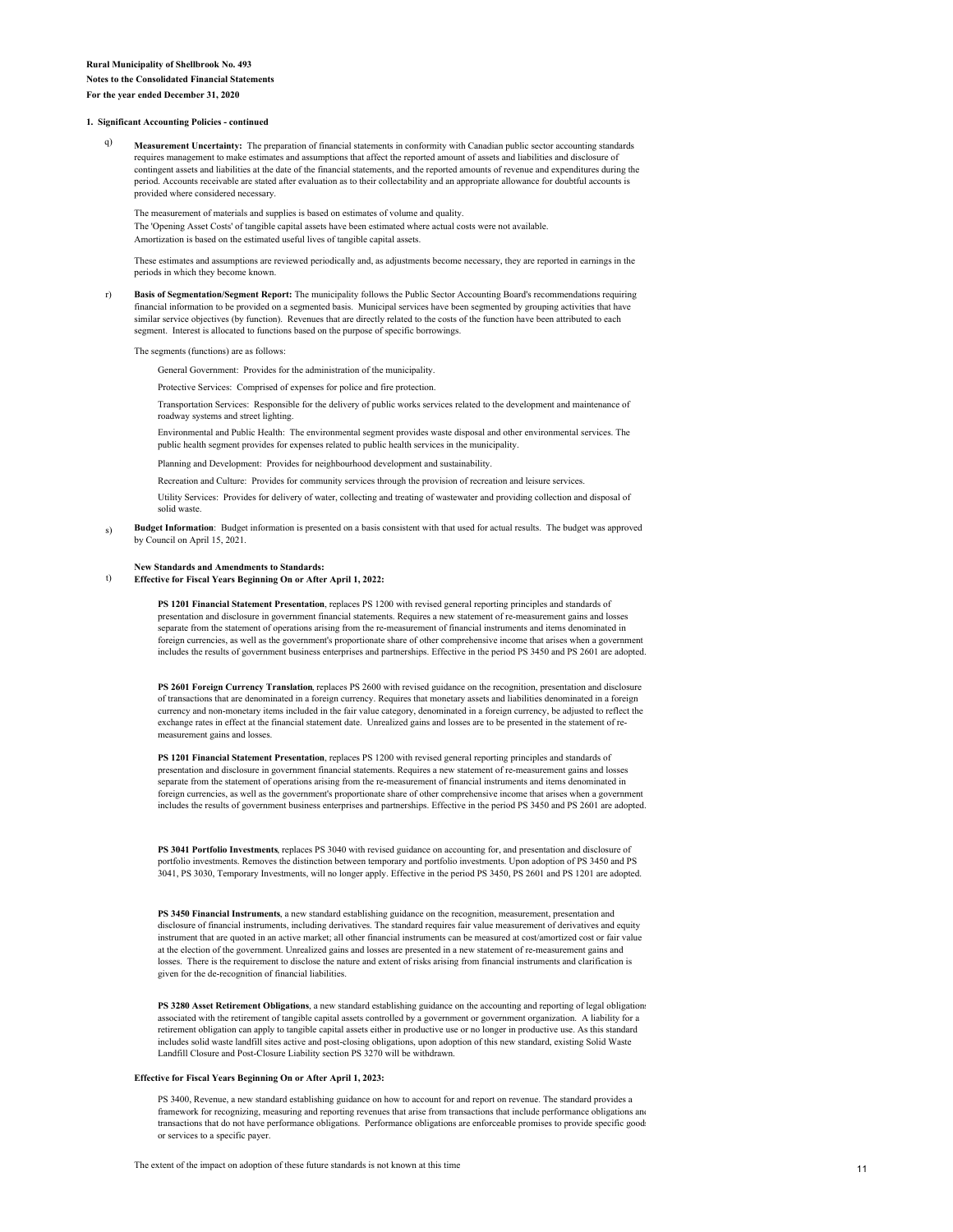#### **Rural Municipality of Shellbrook No. 493 Notes to the Consolidated Financial Statements For the year ended December 31, 2020**

#### **1. Significant Accounting Policies - continued**

q) **Measurement Uncertainty:** The preparation of financial statements in conformity with Canadian public sector accounting standards requires management to make estimates and assumptions that affect the reported amount of assets and liabilities and disclosure of contingent assets and liabilities at the date of the financial statements, and the reported amounts of revenue and expenditures during the period. Accounts receivable are stated after evaluation as to their collectability and an appropriate allowance for doubtful accounts is provided where considered necessary.

The 'Opening Asset Costs' of tangible capital assets have been estimated where actual costs were not available. The measurement of materials and supplies is based on estimates of volume and quality. Amortization is based on the estimated useful lives of tangible capital assets.

These estimates and assumptions are reviewed periodically and, as adjustments become necessary, they are reported in earnings in the periods in which they become known.

r) **Basis of Segmentation/Segment Report:** The municipality follows the Public Sector Accounting Board's recommendations requiring financial information to be provided on a segmented basis. Municipal services have been segmented by grouping activities that have similar service objectives (by function). Revenues that are directly related to the costs of the function have been attributed to each segment. Interest is allocated to functions based on the purpose of specific borrowings.

The segments (functions) are as follows:

General Government: Provides for the administration of the municipality.

Protective Services: Comprised of expenses for police and fire protection.

Transportation Services: Responsible for the delivery of public works services related to the development and maintenance of roadway systems and street lighting.

Environmental and Public Health: The environmental segment provides waste disposal and other environmental services. The public health segment provides for expenses related to public health services in the municipality.

Planning and Development: Provides for neighbourhood development and sustainability.

Recreation and Culture: Provides for community services through the provision of recreation and leisure services.

Utility Services: Provides for delivery of water, collecting and treating of wastewater and providing collection and disposal of solid wast

s) **Budget Information:** Budget information is presented on a basis consistent with that used for actual results. The budget was approved by Council on April 15, 2021.

**New Standards and Amendments to Standards:** 

t) **Effective for Fiscal Years Beginning On or After April 1, 2022:**

> **PS 1201 Financial Statement Presentation**, replaces PS 1200 with revised general reporting principles and standards of presentation and disclosure in government financial statements. Requires a new statement of re-measurement gains and losses separate from the statement of operations arising from the re-measurement of financial instruments and items denominated in foreign currencies, as well as the government's proportionate share of other comprehensive income that arises when a government includes the results of government business enterprises and partnerships. Effective in the period PS 3450 and PS 2601 are adopted.

> **PS 2601 Foreign Currency Translation**, replaces PS 2600 with revised guidance on the recognition, presentation and disclosure of transactions that are denominated in a foreign currency. Requires that monetary assets and liabilities denominated in a foreign currency and non-monetary items included in the fair value category, denominated in a foreign currency, be adjusted to reflect the exchange rates in effect at the financial statement date. Unrealized gains and losses are to be presented in the statement of remeasurement gains and losses.

> **PS 1201 Financial Statement Presentation**, replaces PS 1200 with revised general reporting principles and standards of presentation and disclosure in government financial statements. Requires a new statement of re-measurement gains and losses separate from the statement of operations arising from the re-measurement of financial instruments and items denominated in foreign currencies, as well as the government's proportionate share of other comprehensive income that arises when a government includes the results of government business enterprises and partnerships. Effective in the period PS 3450 and PS 2601 are adopted.

> **PS 3041 Portfolio Investments**, replaces PS 3040 with revised guidance on accounting for, and presentation and disclosure of portfolio investments. Removes the distinction between temporary and portfolio investments. Upon adoption of PS 3450 and PS 3041, PS 3030, Temporary Investments, will no longer apply. Effective in the period PS 3450, PS 2601 and PS 1201 are adopted.

> **PS 3450 Financial Instruments**, a new standard establishing guidance on the recognition, measurement, presentation and disclosure of financial instruments, including derivatives. The standard requires fair value measurement of derivatives and equity instrument that are quoted in an active market; all other financial instruments can be measured at cost/amortized cost or fair value at the election of the government. Unrealized gains and losses are presented in a new statement of re-measurement gains and losses. There is the requirement to disclose the nature and extent of risks arising from financial instruments and clarification is given for the de-recognition of financial liabilities.

> **PS 3280 Asset Retirement Obligations**, a new standard establishing guidance on the accounting and reporting of legal obligations associated with the retirement of tangible capital assets controlled by a government or government organization. A liability for a retirement obligation can apply to tangible capital assets either in productive use or no longer in productive use. As this standard includes solid waste landfill sites active and post-closing obligations, upon adoption of this new standard, existing Solid Waste Landfill Closure and Post-Closure Liability section PS 3270 will be withdrawn.

#### **Effective for Fiscal Years Beginning On or After April 1, 2023:**

PS 3400, Revenue, a new standard establishing guidance on how to account for and report on revenue. The standard provides a framework for recognizing, measuring and reporting revenues that arise from transactions that include performance obligations and transactions that do not have performance obligations. Performance obligations are enforceable promises to provide specific goods or services to a specific payer.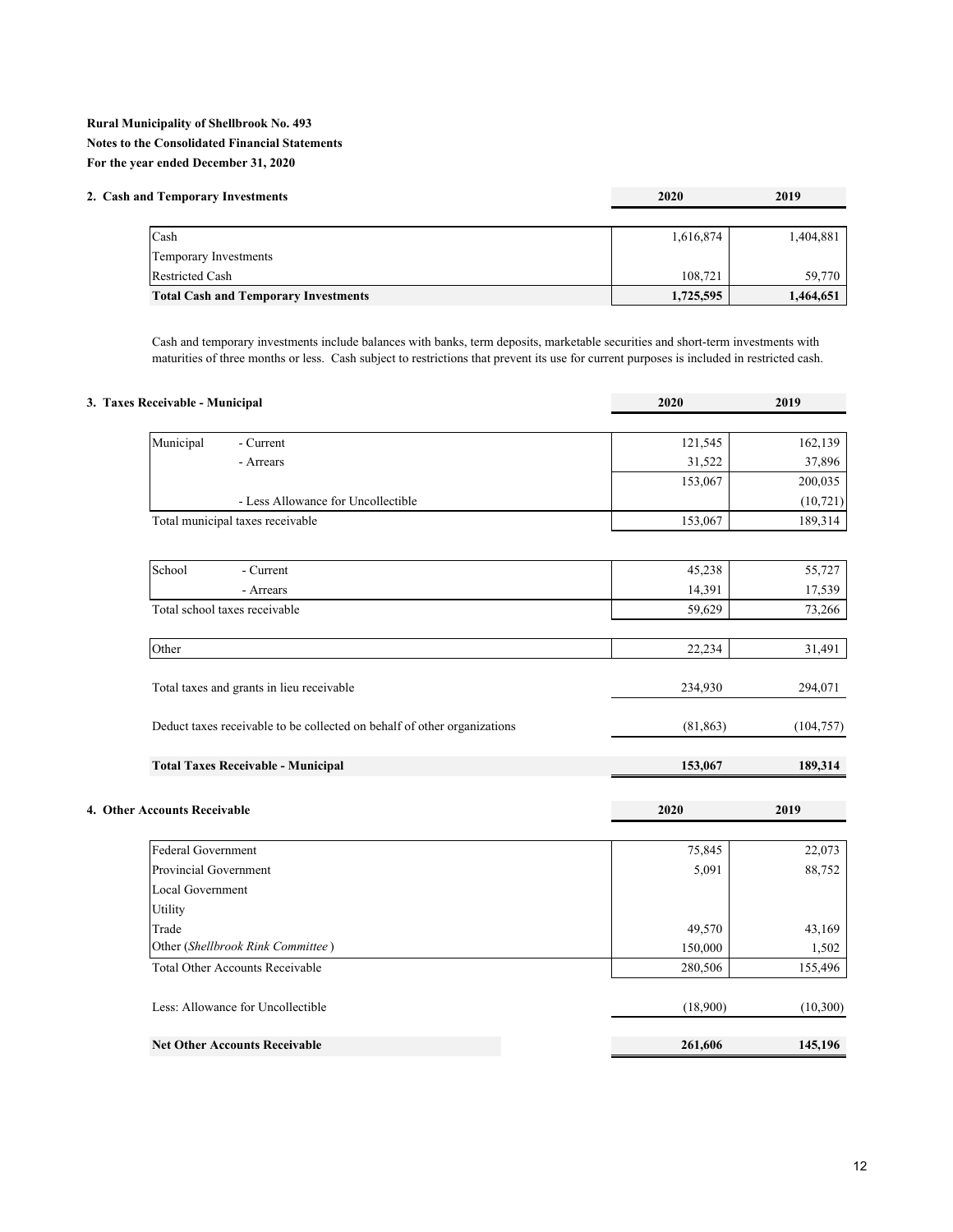## **Rural Municipality of Shellbrook No. 493 Notes to the Consolidated Financial Statements For the year ended December 31, 2020**

| 2. Cash and Temporary Investments           | 2020      | 2019      |
|---------------------------------------------|-----------|-----------|
|                                             |           |           |
| Cash                                        | 1,616,874 | 1,404,881 |
| Temporary Investments                       |           |           |
| <b>Restricted Cash</b>                      | 108,721   | 59,770    |
| <b>Total Cash and Temporary Investments</b> | 1,725,595 | 1,464,651 |

Cash and temporary investments include balances with banks, term deposits, marketable securities and short-term investments with maturities of three months or less. Cash subject to restrictions that prevent its use for current purposes is included in restricted cash.

| 3. Taxes Receivable - Municipal                                          | 2020      | 2019       |
|--------------------------------------------------------------------------|-----------|------------|
|                                                                          |           |            |
| Municipal<br>- Current                                                   | 121,545   | 162,139    |
| - Arrears                                                                | 31,522    | 37,896     |
|                                                                          | 153,067   | 200,035    |
| - Less Allowance for Uncollectible                                       |           | (10, 721)  |
| Total municipal taxes receivable                                         | 153,067   | 189,314    |
|                                                                          |           |            |
| School<br>- Current                                                      | 45,238    | 55,727     |
| - Arrears                                                                | 14,391    | 17,539     |
| Total school taxes receivable                                            | 59,629    | 73,266     |
| Other                                                                    | 22,234    | 31,491     |
|                                                                          |           |            |
| Total taxes and grants in lieu receivable                                | 234,930   | 294,071    |
| Deduct taxes receivable to be collected on behalf of other organizations | (81, 863) | (104, 757) |
| <b>Total Taxes Receivable - Municipal</b>                                | 153,067   | 189,314    |
| 4. Other Accounts Receivable                                             | 2020      | 2019       |
| <b>Federal Government</b>                                                | 75,845    | 22,073     |
| Provincial Government                                                    | 5,091     | 88,752     |
| Local Government                                                         |           |            |
| Utility                                                                  |           |            |
| Trade                                                                    | 49,570    | 43,169     |
| Other (Shellbrook Rink Committee)                                        | 150,000   | 1,502      |
| Total Other Accounts Receivable                                          | 280,506   | 155,496    |
| Less: Allowance for Uncollectible                                        | (18,900)  | (10,300)   |
|                                                                          |           |            |
| <b>Net Other Accounts Receivable</b>                                     | 261,606   | 145,196    |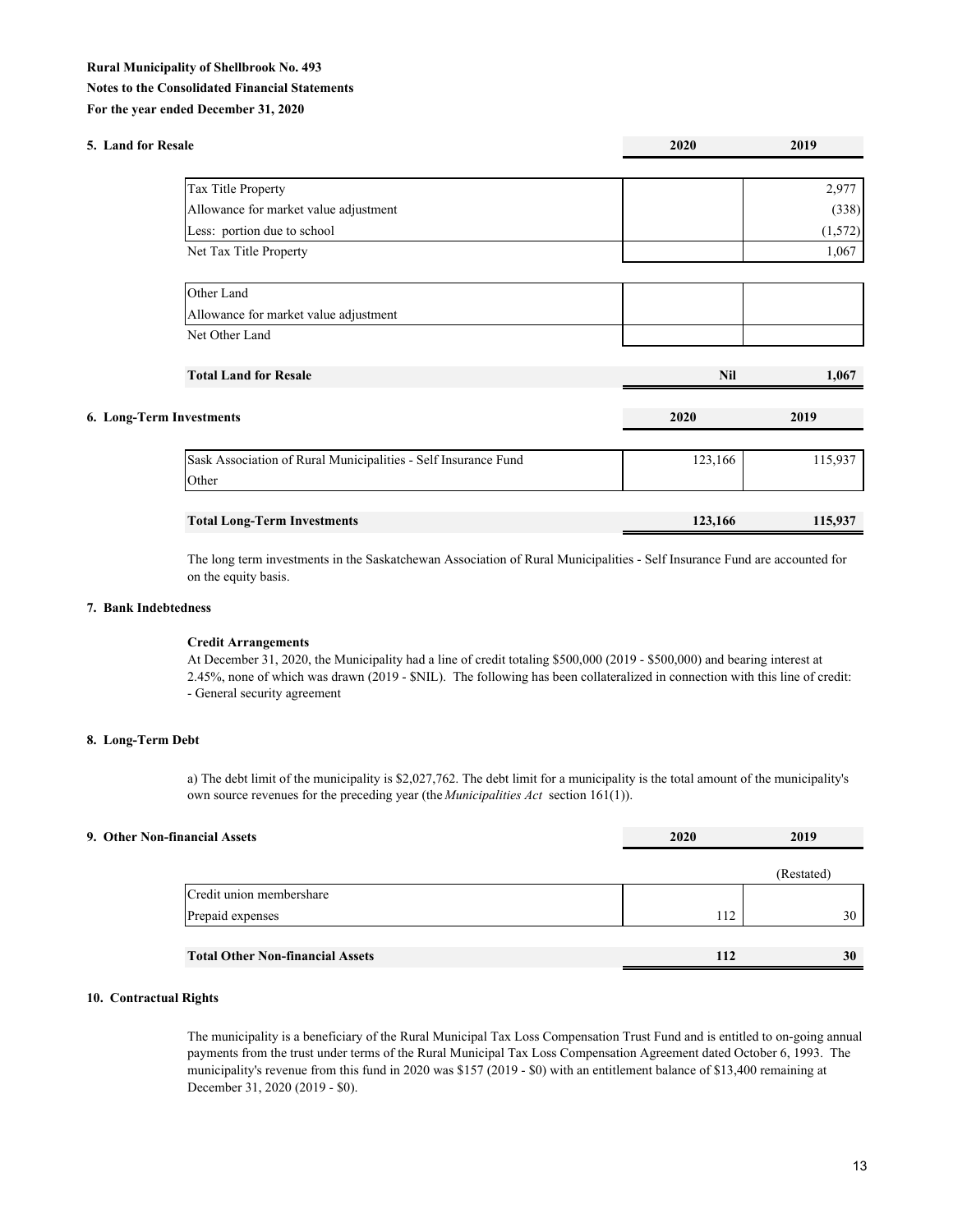| 5. Land for Resale                                             | 2020       | 2019     |
|----------------------------------------------------------------|------------|----------|
| Tax Title Property                                             |            | 2,977    |
| Allowance for market value adjustment                          |            | (338)    |
| Less: portion due to school                                    |            | (1, 572) |
| Net Tax Title Property                                         |            | 1,067    |
|                                                                |            |          |
| Other Land                                                     |            |          |
| Allowance for market value adjustment                          |            |          |
| Net Other Land                                                 |            |          |
| <b>Total Land for Resale</b>                                   | <b>Nil</b> | 1,067    |
| 6. Long-Term Investments                                       | 2020       | 2019     |
| Sask Association of Rural Municipalities - Self Insurance Fund | 123,166    | 115,937  |
| Other                                                          |            |          |
| <b>Total Long-Term Investments</b>                             | 123,166    | 115,937  |

The long term investments in the Saskatchewan Association of Rural Municipalities - Self Insurance Fund are accounted for on the equity basis.

#### **7. Bank Indebtedness**

#### **Credit Arrangements**

At December 31, 2020, the Municipality had a line of credit totaling \$500,000 (2019 - \$500,000) and bearing interest at 2.45%, none of which was drawn (2019 - \$NIL). The following has been collateralized in connection with this line of credit: - General security agreement

#### **8. Long-Term Debt**

a) The debt limit of the municipality is \$2,027,762. The debt limit for a municipality is the total amount of the municipality's own source revenues for the preceding year (the *Municipalities Act* section 161(1)).

| 9. Other Non-financial Assets           | 2020 | 2019       |
|-----------------------------------------|------|------------|
|                                         |      | (Restated) |
| Credit union membershare                |      |            |
| Prepaid expenses                        | 112  | 30         |
|                                         |      |            |
| <b>Total Other Non-financial Assets</b> | 112  | 30         |

#### **10. Contractual Rights**

The municipality is a beneficiary of the Rural Municipal Tax Loss Compensation Trust Fund and is entitled to on-going annual payments from the trust under terms of the Rural Municipal Tax Loss Compensation Agreement dated October 6, 1993. The municipality's revenue from this fund in 2020 was \$157 (2019 - \$0) with an entitlement balance of \$13,400 remaining at December 31, 2020 (2019 - \$0).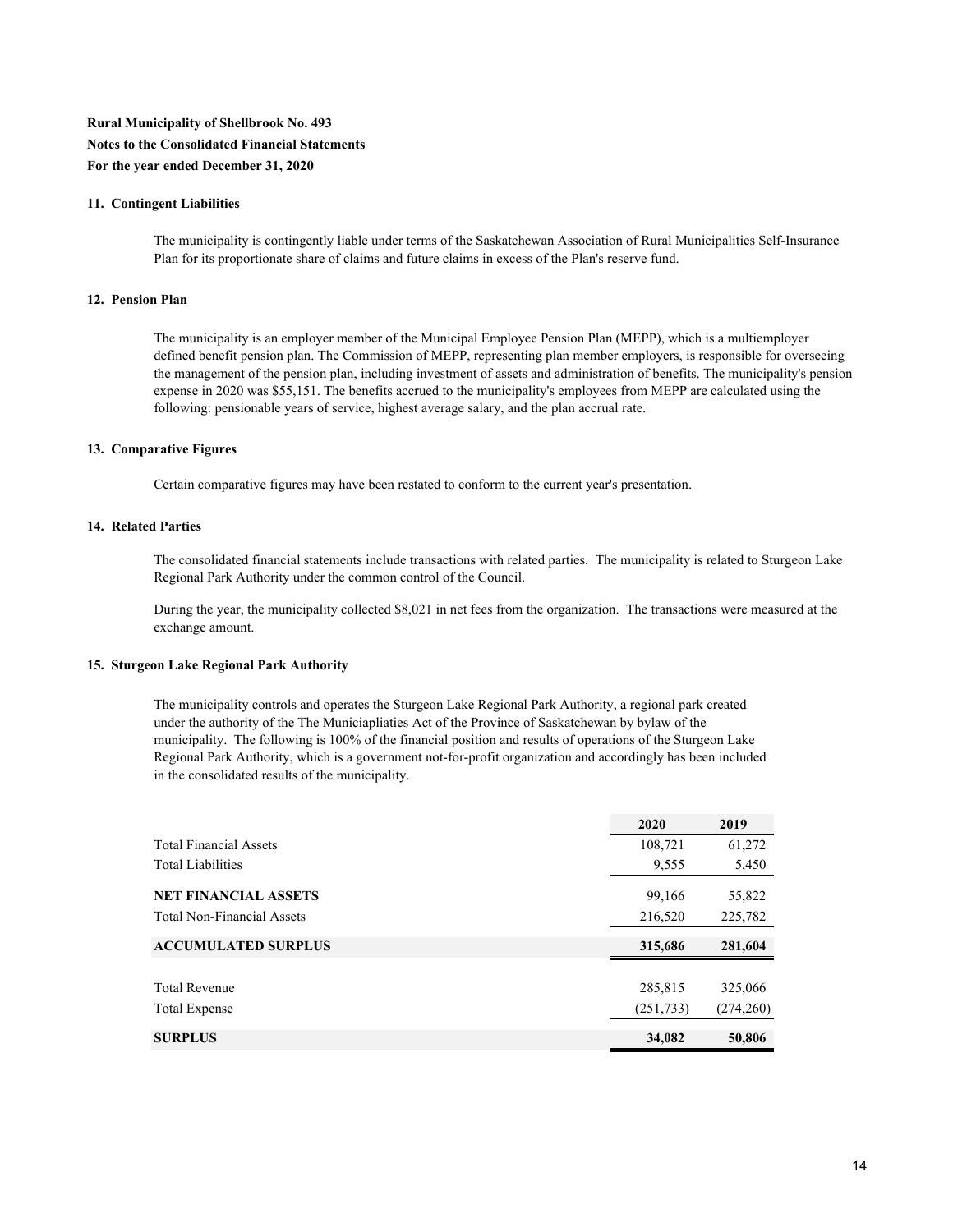## **Rural Municipality of Shellbrook No. 493 Notes to the Consolidated Financial Statements For the year ended December 31, 2020**

#### **11. Contingent Liabilities**

The municipality is contingently liable under terms of the Saskatchewan Association of Rural Municipalities Self-Insurance Plan for its proportionate share of claims and future claims in excess of the Plan's reserve fund.

### **12. Pension Plan**

The municipality is an employer member of the Municipal Employee Pension Plan (MEPP), which is a multiemployer defined benefit pension plan. The Commission of MEPP, representing plan member employers, is responsible for overseeing the management of the pension plan, including investment of assets and administration of benefits. The municipality's pension expense in 2020 was \$55,151. The benefits accrued to the municipality's employees from MEPP are calculated using the following: pensionable years of service, highest average salary, and the plan accrual rate.

#### **13. Comparative Figures**

Certain comparative figures may have been restated to conform to the current year's presentation.

#### **14. Related Parties**

The consolidated financial statements include transactions with related parties. The municipality is related to Sturgeon Lake Regional Park Authority under the common control of the Council.

During the year, the municipality collected \$8,021 in net fees from the organization. The transactions were measured at the exchange amount.

#### **15. Sturgeon Lake Regional Park Authority**

The municipality controls and operates the Sturgeon Lake Regional Park Authority, a regional park created under the authority of the The Municiapliaties Act of the Province of Saskatchewan by bylaw of the municipality. The following is 100% of the financial position and results of operations of the Sturgeon Lake Regional Park Authority, which is a government not-for-profit organization and accordingly has been included in the consolidated results of the municipality.

|                                   | 2020       | 2019      |
|-----------------------------------|------------|-----------|
| <b>Total Financial Assets</b>     | 108,721    | 61,272    |
| <b>Total Liabilities</b>          | 9,555      | 5,450     |
| <b>NET FINANCIAL ASSETS</b>       | 99,166     | 55,822    |
| <b>Total Non-Financial Assets</b> | 216,520    | 225,782   |
| <b>ACCUMULATED SURPLUS</b>        | 315,686    | 281,604   |
| <b>Total Revenue</b>              | 285,815    | 325,066   |
| <b>Total Expense</b>              | (251, 733) | (274,260) |
| <b>SURPLUS</b>                    | 34,082     | 50,806    |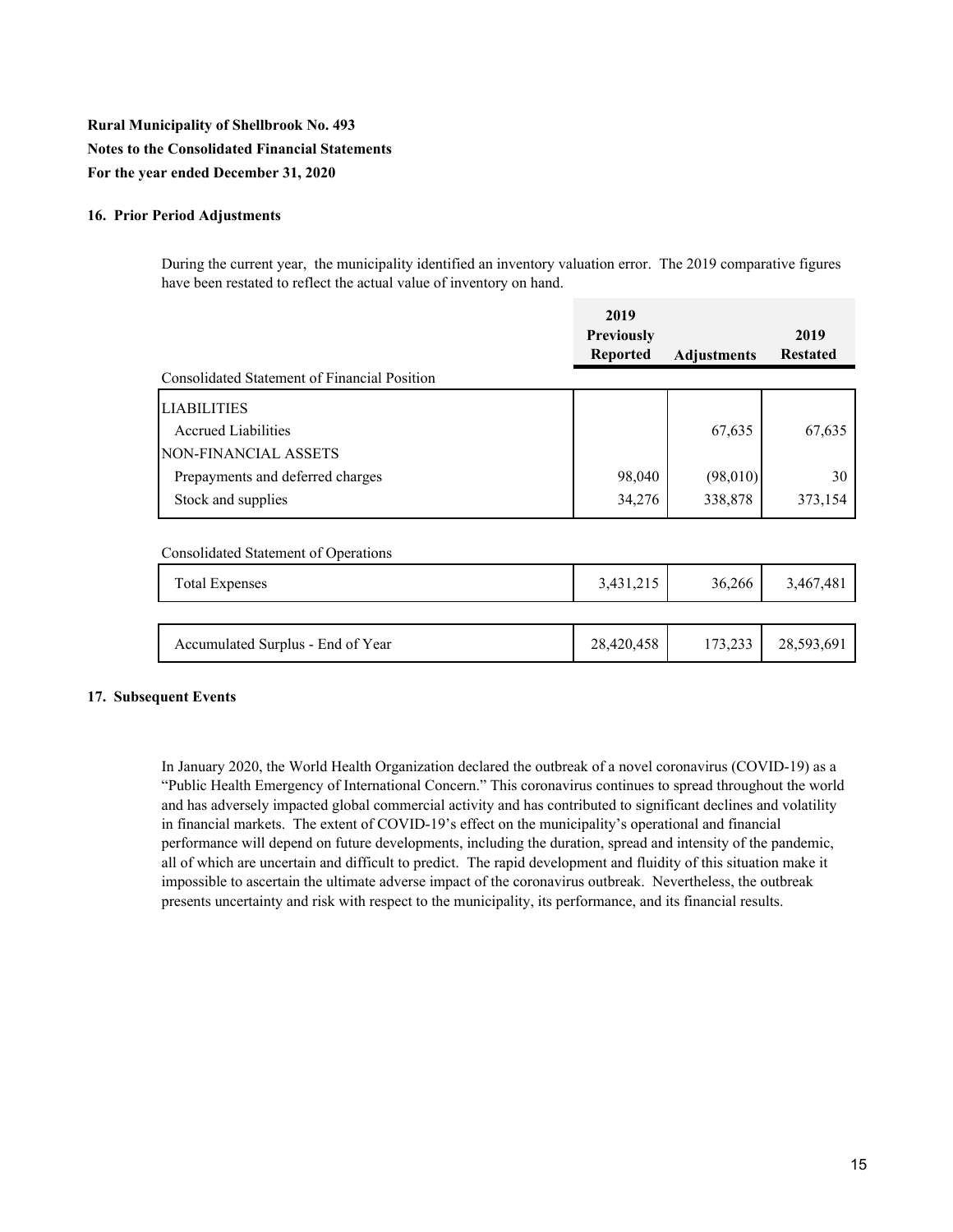## **Rural Municipality of Shellbrook No. 493 Notes to the Consolidated Financial Statements For the year ended December 31, 2020**

## **16. Prior Period Adjustments**

During the current year, the municipality identified an inventory valuation error. The 2019 comparative figures have been restated to reflect the actual value of inventory on hand.

|                                                  | 2019<br><b>Previously</b><br><b>Reported</b> | Adjustments | 2019<br><b>Restated</b> |
|--------------------------------------------------|----------------------------------------------|-------------|-------------------------|
| Consolidated Statement of Financial Position     |                                              |             |                         |
| <b>LIABILITIES</b><br><b>Accrued Liabilities</b> |                                              | 67,635      | 67,635                  |
| <b>NON-FINANCIAL ASSETS</b>                      |                                              |             |                         |
| Prepayments and deferred charges                 | 98,040                                       | (98,010)    | 30                      |
| Stock and supplies                               | 34,276                                       | 338,878     | 373,154                 |
| Consolidated Statement of Operations             |                                              |             |                         |
| <b>Total Expenses</b>                            | 3,431,215                                    | 36,266      | 3,467,481               |
|                                                  |                                              |             |                         |
| Accumulated Surplus - End of Year                | 28,420,458                                   | 173,233     | 28,593,691              |

## **17. Subsequent Events**

In January 2020, the World Health Organization declared the outbreak of a novel coronavirus (COVID-19) as a "Public Health Emergency of International Concern." This coronavirus continues to spread throughout the world and has adversely impacted global commercial activity and has contributed to significant declines and volatility in financial markets. The extent of COVID-19's effect on the municipality's operational and financial performance will depend on future developments, including the duration, spread and intensity of the pandemic, all of which are uncertain and difficult to predict. The rapid development and fluidity of this situation make it impossible to ascertain the ultimate adverse impact of the coronavirus outbreak. Nevertheless, the outbreak presents uncertainty and risk with respect to the municipality, its performance, and its financial results.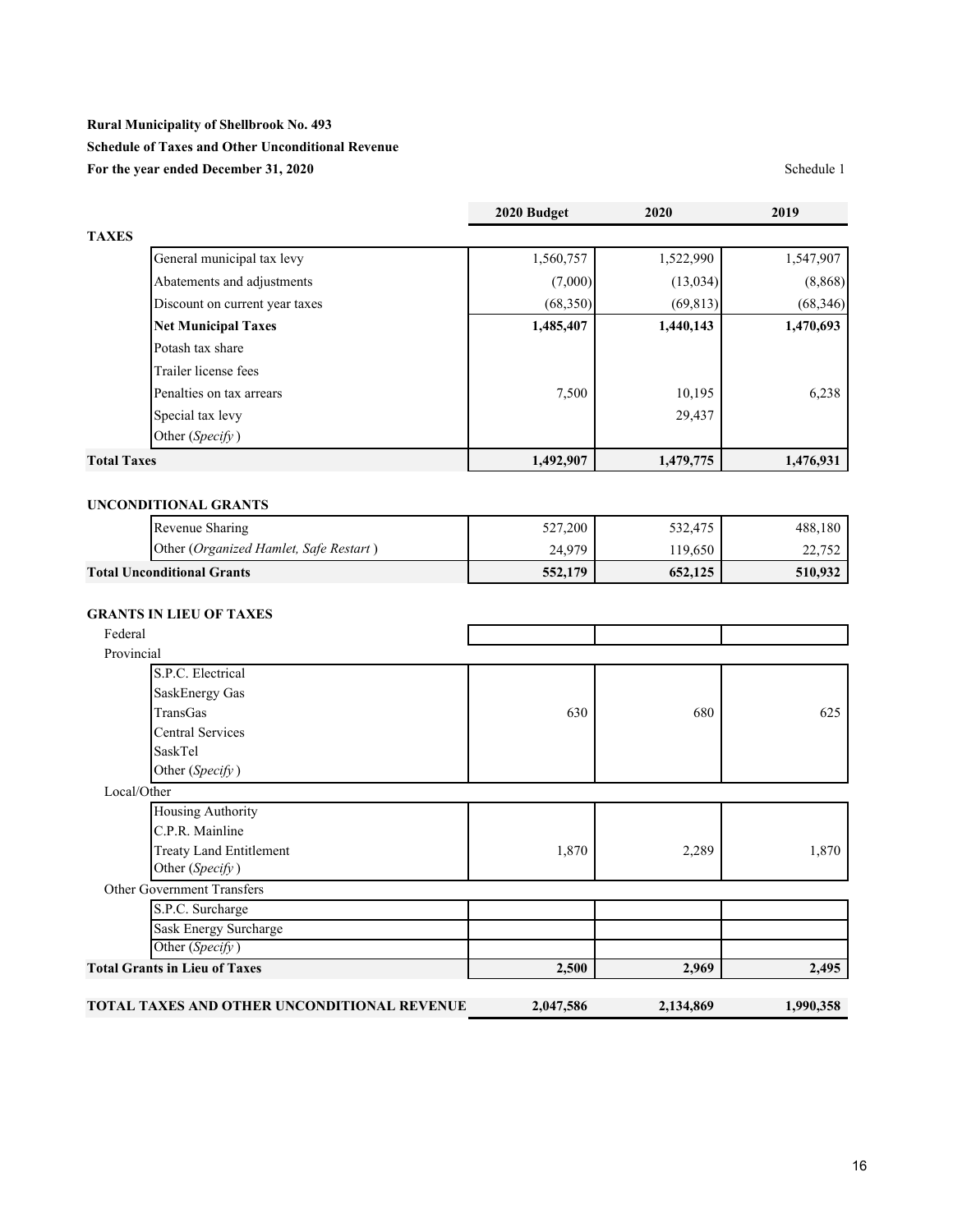## **Rural Municipality of Shellbrook No. 493 Schedule of Taxes and Other Unconditional Revenue** For the year ended December 31, 2020 Schedule 1

|                    |                                                    | 2020 Budget | 2020      | 2019      |
|--------------------|----------------------------------------------------|-------------|-----------|-----------|
| <b>TAXES</b>       |                                                    |             |           |           |
|                    | General municipal tax levy                         | 1,560,757   | 1,522,990 | 1,547,907 |
|                    | Abatements and adjustments                         | (7,000)     | (13, 034) | (8, 868)  |
|                    | Discount on current year taxes                     | (68, 350)   | (69, 813) | (68, 346) |
|                    | <b>Net Municipal Taxes</b>                         | 1,485,407   | 1,440,143 | 1,470,693 |
|                    | Potash tax share                                   |             |           |           |
|                    | Trailer license fees                               |             |           |           |
|                    | Penalties on tax arrears                           | 7,500       | 10,195    | 6,238     |
|                    | Special tax levy                                   |             | 29,437    |           |
|                    | Other (Specify)                                    |             |           |           |
| <b>Total Taxes</b> |                                                    | 1,492,907   | 1,479,775 | 1,476,931 |
|                    |                                                    |             |           |           |
|                    | UNCONDITIONAL GRANTS                               |             |           |           |
|                    | Revenue Sharing                                    | 527,200     | 532,475   | 488,180   |
|                    | Other (Organized Hamlet, Safe Restart)             |             |           |           |
|                    |                                                    | 24,979      | 119,650   | 22,752    |
|                    | <b>Total Unconditional Grants</b>                  | 552,179     | 652,125   | 510,932   |
|                    |                                                    |             |           |           |
|                    | <b>GRANTS IN LIEU OF TAXES</b>                     |             |           |           |
| Federal            |                                                    |             |           |           |
| Provincial         | S.P.C. Electrical                                  |             |           |           |
|                    | SaskEnergy Gas                                     |             |           |           |
|                    | TransGas                                           | 630         | 680       | 625       |
|                    | <b>Central Services</b>                            |             |           |           |
|                    | SaskTel                                            |             |           |           |
|                    | Other (Specify)                                    |             |           |           |
| Local/Other        |                                                    |             |           |           |
|                    | <b>Housing Authority</b>                           |             |           |           |
|                    | C.P.R. Mainline                                    |             |           |           |
|                    | <b>Treaty Land Entitlement</b>                     | 1,870       | 2,289     | 1,870     |
|                    | Other (Specify)                                    |             |           |           |
|                    | Other Government Transfers                         |             |           |           |
|                    | S.P.C. Surcharge                                   |             |           |           |
|                    | Sask Energy Surcharge                              |             |           |           |
|                    | Other (Specify)                                    |             |           |           |
|                    | <b>Total Grants in Lieu of Taxes</b>               | 2,500       | 2,969     | 2,495     |
|                    |                                                    |             |           |           |
|                    | <b>TOTAL TAXES AND OTHER UNCONDITIONAL REVENUE</b> | 2,047,586   | 2,134,869 | 1,990,358 |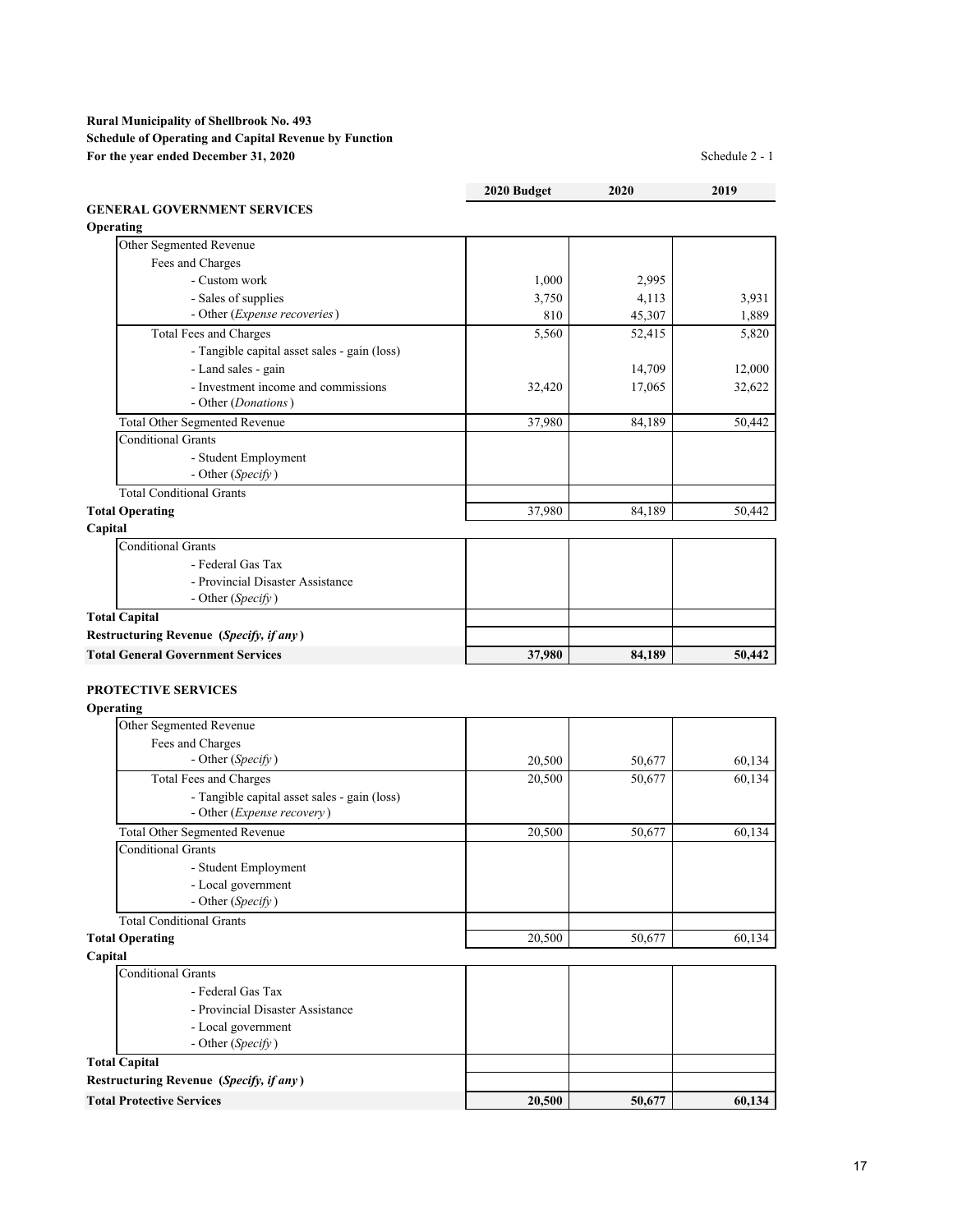## **Rural Municipality of Shellbrook No. 493 Schedule of Operating and Capital Revenue by Function** For the year ended December 31, 2020 Schedule 2 - 1

|                                                            | 2020 Budget | 2020   | 2019   |
|------------------------------------------------------------|-------------|--------|--------|
| <b>GENERAL GOVERNMENT SERVICES</b><br>Operating            |             |        |        |
| Other Segmented Revenue                                    |             |        |        |
| Fees and Charges                                           |             |        |        |
| - Custom work                                              | 1,000       | 2,995  |        |
| - Sales of supplies                                        | 3,750       | 4,113  | 3,931  |
| - Other (Expense recoveries)                               | 810         | 45,307 | 1,889  |
| <b>Total Fees and Charges</b>                              | 5,560       | 52,415 | 5,820  |
| - Tangible capital asset sales - gain (loss)               |             |        |        |
| - Land sales - gain                                        |             | 14,709 | 12,000 |
| - Investment income and commissions<br>- Other (Donations) | 32,420      | 17,065 | 32,622 |
| <b>Total Other Segmented Revenue</b>                       | 37,980      | 84,189 | 50,442 |
| <b>Conditional Grants</b>                                  |             |        |        |
| - Student Employment                                       |             |        |        |
| - Other (Specify)                                          |             |        |        |
| <b>Total Conditional Grants</b>                            |             |        |        |
| <b>Total Operating</b>                                     | 37,980      | 84,189 | 50,442 |
| Capital                                                    |             |        |        |
| <b>Conditional Grants</b>                                  |             |        |        |
| - Federal Gas Tax                                          |             |        |        |
| - Provincial Disaster Assistance                           |             |        |        |
| - Other (Specify)                                          |             |        |        |
| <b>Total Capital</b>                                       |             |        |        |
| Restructuring Revenue (Specify, if any)                    |             |        |        |
| <b>Total General Government Services</b>                   | 37,980      | 84,189 | 50,442 |
| <b>PROTECTIVE SERVICES</b>                                 |             |        |        |
| Operating                                                  |             |        |        |
| Other Segmented Revenue                                    |             |        |        |
| Fees and Charges                                           |             |        |        |
| - Other (Specify)                                          | 20,500      | 50,677 | 60,134 |
| Total Fees and Charges                                     | 20,500      | 50,677 | 60,134 |
| - Tangible capital asset sales - gain (loss)               |             |        |        |
| - Other (Expense recovery)                                 |             |        |        |
| <b>Total Other Segmented Revenue</b>                       | 20,500      | 50.677 | 60,134 |

| Capital |      |
|---------|------|
|         | Conc |

Conditional Grants

Total Conditional Grants

 - Student Employment - Local government - Other (*Specify* )

| Conditional Grants                      |        |        |        |
|-----------------------------------------|--------|--------|--------|
| - Federal Gas Tax                       |        |        |        |
| - Provincial Disaster Assistance        |        |        |        |
| - Local government                      |        |        |        |
| - Other $(Specify)$                     |        |        |        |
| <b>Total Capital</b>                    |        |        |        |
| Restructuring Revenue (Specify, if any) |        |        |        |
| <b>Total Protective Services</b>        | 20,500 | 50,677 | 60,134 |

**Total Operating** 50,677 60,134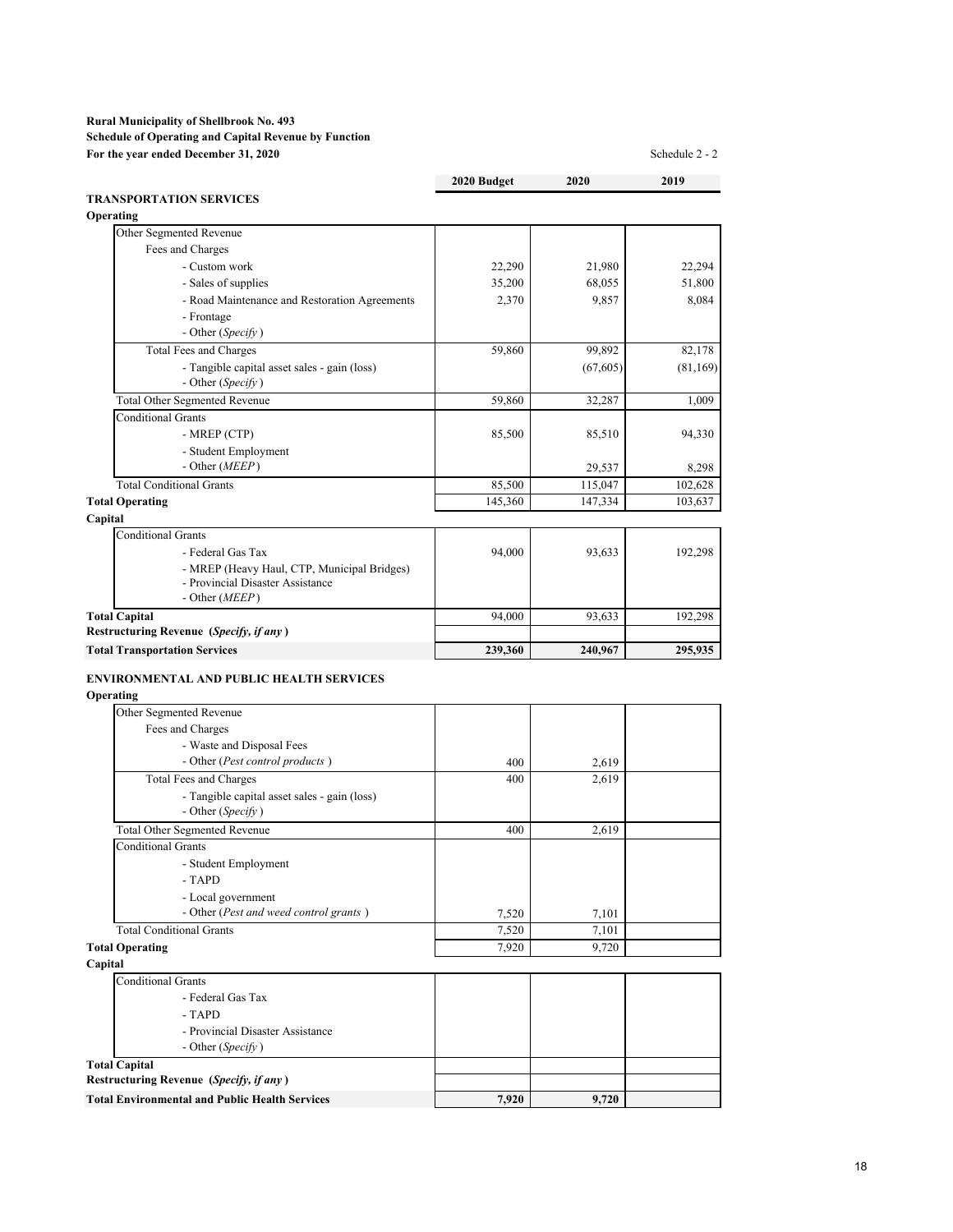### **Rural Municipality of Shellbrook No. 493 Schedule of Operating and Capital Revenue by Function** For the year ended December 31, 2020

|                                               | 2020 Budget | 2020   | 2019   |
|-----------------------------------------------|-------------|--------|--------|
| <b>TRANSPORTATION SERVICES</b>                |             |        |        |
| Operating                                     |             |        |        |
| Other Segmented Revenue                       |             |        |        |
| Fees and Charges                              |             |        |        |
| - Custom work                                 | 22,290      | 21,980 | 22,294 |
| - Sales of supplies                           | 35,200      | 68,055 | 51,800 |
| - Road Maintenance and Restoration Agreements | 2,370       | 9,857  | 8,084  |
| - Frontage                                    |             |        |        |

| - Frontage<br>- Other ( $Specify$ )                               |         |          |           |
|-------------------------------------------------------------------|---------|----------|-----------|
| Total Fees and Charges                                            | 59,860  | 99,892   | 82,178    |
| - Tangible capital asset sales - gain (loss)<br>- Other (Specify) |         | (67,605) | (81, 169) |
| Total Other Segmented Revenue                                     | 59,860  | 32,287   | 1,009     |
| Conditional Grants                                                |         |          |           |
| - MREP (CTP)                                                      | 85,500  | 85,510   | 94,330    |
| - Student Employment                                              |         |          |           |
| - Other $(MEEP)$                                                  |         | 29.537   | 8.298     |
| <b>Total Conditional Grants</b>                                   | 85,500  | 115,047  | 102,628   |
| <b>Total Operating</b>                                            | 145,360 | 147,334  | 103,637   |

| Capital                                                                                             |         |         |         |
|-----------------------------------------------------------------------------------------------------|---------|---------|---------|
| Conditional Grants                                                                                  |         |         |         |
| - Federal Gas Tax                                                                                   | 94,000  | 93,633  | 192,298 |
| - MREP (Heavy Haul, CTP, Municipal Bridges)<br>- Provincial Disaster Assistance<br>- Other $(MEEP)$ |         |         |         |
| <b>Total Capital</b>                                                                                | 94,000  | 93,633  | 192.298 |
| Restructuring Revenue (Specify, if any)                                                             |         |         |         |
| <b>Total Transportation Services</b>                                                                | 239,360 | 240,967 | 295,935 |

### **ENVIRONMENTAL AND PUBLIC HEALTH SERVICES**

**Operating**

| $    -$ |                                              |       |       |  |
|---------|----------------------------------------------|-------|-------|--|
|         | Other Segmented Revenue                      |       |       |  |
|         | Fees and Charges                             |       |       |  |
|         | - Waste and Disposal Fees                    |       |       |  |
|         | - Other (Pest control products)              | 400   | 2,619 |  |
|         | Total Fees and Charges                       | 400   | 2,619 |  |
|         | - Tangible capital asset sales - gain (loss) |       |       |  |
|         | - Other ( $Specify$ )                        |       |       |  |
|         | Total Other Segmented Revenue                | 400   | 2,619 |  |
|         | <b>Conditional Grants</b>                    |       |       |  |
|         | - Student Employment                         |       |       |  |
|         | - TAPD                                       |       |       |  |
|         | - Local government                           |       |       |  |
|         | - Other (Pest and weed control grants)       | 7,520 | 7,101 |  |
|         | <b>Total Conditional Grants</b>              | 7,520 | 7,101 |  |
|         | <b>Total Operating</b>                       | 7,920 | 9,720 |  |
| Capital |                                              |       |       |  |
|         | <b>Conditional Grants</b>                    |       |       |  |
|         | - Federal Gas Tax                            |       |       |  |
|         | $-TAPD$                                      |       |       |  |
|         | - Provincial Disaster Assistance             |       |       |  |
|         | - Other (Specify)                            |       |       |  |

**Total Capital**

| Restructuring Revenue (Specify, if any)               |       |       |
|-------------------------------------------------------|-------|-------|
| <b>Total Environmental and Public Health Services</b> | 7.920 | 9.720 |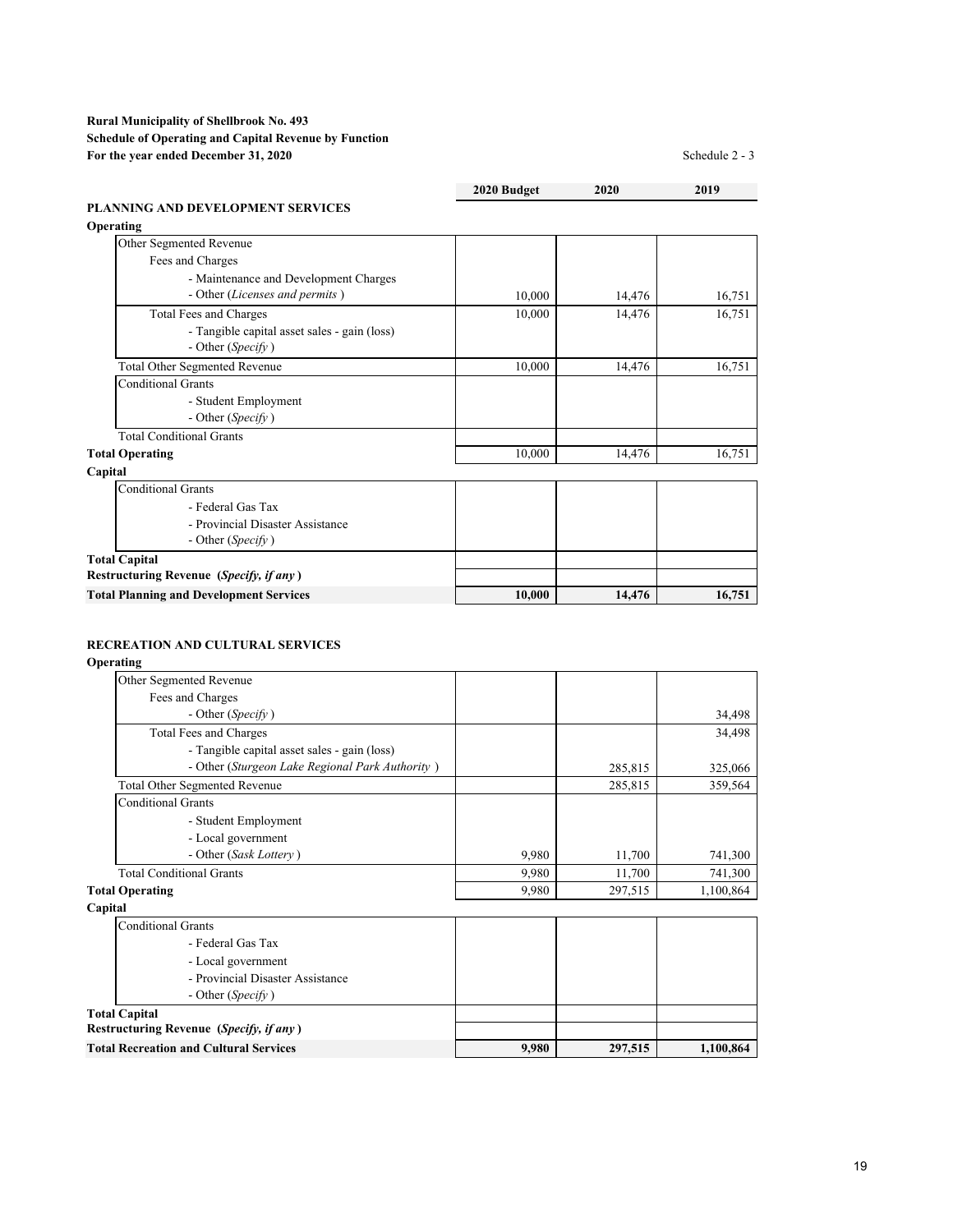### **Rural Municipality of Shellbrook No. 493 Schedule of Operating and Capital Revenue by Function For the year ended December 31, 2020** Schedule 2 - 3

|                                                                   | 2020 Budget | 2020   | 2019   |
|-------------------------------------------------------------------|-------------|--------|--------|
| <b>PLANNING AND DEVELOPMENT SERVICES</b>                          |             |        |        |
| Operating                                                         |             |        |        |
| Other Segmented Revenue                                           |             |        |        |
| Fees and Charges                                                  |             |        |        |
| - Maintenance and Development Charges                             |             |        |        |
| - Other (Licenses and permits)                                    | 10,000      | 14,476 | 16,751 |
| Total Fees and Charges                                            | 10,000      | 14,476 | 16,751 |
| - Tangible capital asset sales - gain (loss)<br>- Other (Specify) |             |        |        |
| Total Other Segmented Revenue                                     | 10,000      | 14,476 | 16,751 |
| <b>Conditional Grants</b>                                         |             |        |        |
| - Student Employment                                              |             |        |        |
| - Other (Specify)                                                 |             |        |        |
| <b>Total Conditional Grants</b>                                   |             |        |        |
| <b>Total Operating</b>                                            | 10,000      | 14,476 | 16,751 |
| Capital                                                           |             |        |        |
| <b>Conditional Grants</b>                                         |             |        |        |
| - Federal Gas Tax                                                 |             |        |        |
| - Provincial Disaster Assistance                                  |             |        |        |
| - Other (Specify)                                                 |             |        |        |
| <b>Total Capital</b>                                              |             |        |        |
| Restructuring Revenue (Specify, if any)                           |             |        |        |
| <b>Total Planning and Development Services</b>                    | 10,000      | 14,476 | 16,751 |

## **RECREATION AND CULTURAL SERVICES**

#### **Operating**

| $\mathsf{v}$ per ating                          |       |         |           |
|-------------------------------------------------|-------|---------|-----------|
| Other Segmented Revenue                         |       |         |           |
| Fees and Charges                                |       |         |           |
| - Other (Specify)                               |       |         | 34,498    |
| Total Fees and Charges                          |       |         | 34,498    |
| - Tangible capital asset sales - gain (loss)    |       |         |           |
| - Other (Sturgeon Lake Regional Park Authority) |       | 285,815 | 325,066   |
| Total Other Segmented Revenue                   |       | 285,815 | 359,564   |
| <b>Conditional Grants</b>                       |       |         |           |
| - Student Employment                            |       |         |           |
| - Local government                              |       |         |           |
| - Other (Sask Lottery)                          | 9,980 | 11,700  | 741,300   |
| <b>Total Conditional Grants</b>                 | 9,980 | 11,700  | 741,300   |
| <b>Total Operating</b>                          | 9,980 | 297,515 | 1,100,864 |
| Capital                                         |       |         |           |
| <b>Conditional Grants</b>                       |       |         |           |
| - Federal Gas Tax                               |       |         |           |
| - Local government                              |       |         |           |
| - Provincial Disaster Assistance                |       |         |           |
| - Other (Specify)                               |       |         |           |
| <b>Total Capital</b>                            |       |         |           |
| Restructuring Revenue (Specify, if any)         |       |         |           |

**Total Recreation and Cultural Services 9,980 297,515 1,100,864**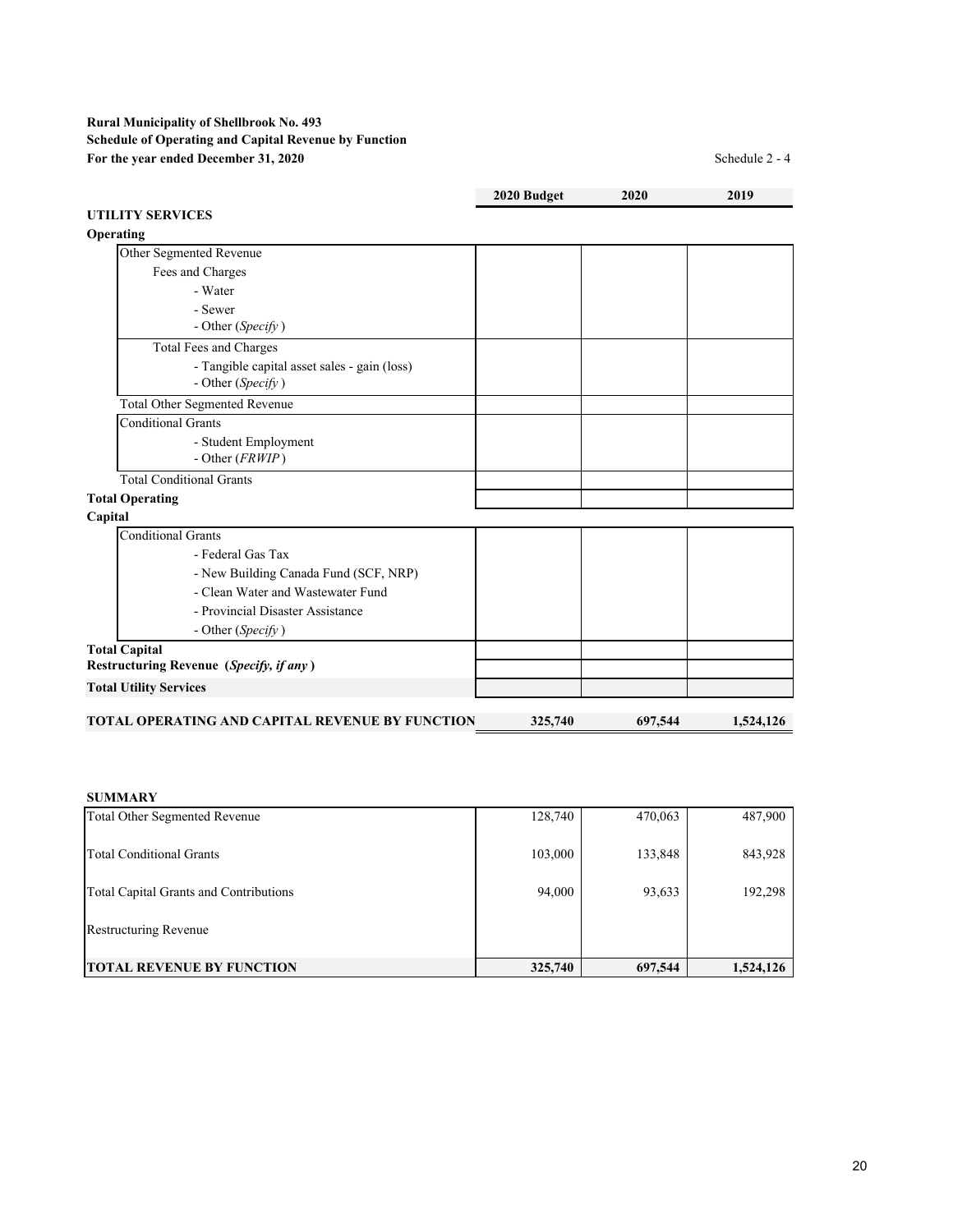## **Rural Municipality of Shellbrook No. 493 Schedule of Operating and Capital Revenue by Function For the year ended December 31, 2020** Schedule 2 - 4

| 1 of the year ended becember 91, 2020                  |             |         |           |
|--------------------------------------------------------|-------------|---------|-----------|
|                                                        | 2020 Budget | 2020    | 2019      |
| <b>UTILITY SERVICES</b>                                |             |         |           |
| Operating                                              |             |         |           |
| Other Segmented Revenue                                |             |         |           |
| Fees and Charges                                       |             |         |           |
| - Water                                                |             |         |           |
| - Sewer                                                |             |         |           |
| - Other (Specify)                                      |             |         |           |
| <b>Total Fees and Charges</b>                          |             |         |           |
| - Tangible capital asset sales - gain (loss)           |             |         |           |
| - Other (Specify)                                      |             |         |           |
| <b>Total Other Segmented Revenue</b>                   |             |         |           |
| <b>Conditional Grants</b>                              |             |         |           |
| - Student Employment                                   |             |         |           |
| - Other $(FRWIP)$                                      |             |         |           |
| <b>Total Conditional Grants</b>                        |             |         |           |
| <b>Total Operating</b>                                 |             |         |           |
| Capital                                                |             |         |           |
| <b>Conditional Grants</b>                              |             |         |           |
| - Federal Gas Tax                                      |             |         |           |
| - New Building Canada Fund (SCF, NRP)                  |             |         |           |
| - Clean Water and Wastewater Fund                      |             |         |           |
| - Provincial Disaster Assistance                       |             |         |           |
| - Other (Specify)                                      |             |         |           |
| <b>Total Capital</b>                                   |             |         |           |
| Restructuring Revenue (Specify, if any)                |             |         |           |
| <b>Total Utility Services</b>                          |             |         |           |
| <b>TOTAL OPERATING AND CAPITAL REVENUE BY FUNCTION</b> | 325,740     | 697,544 | 1,524,126 |

| <b>SUMMARY</b>                                |         |         |           |
|-----------------------------------------------|---------|---------|-----------|
| Total Other Segmented Revenue                 | 128,740 | 470,063 | 487,900   |
| <b>Total Conditional Grants</b>               | 103,000 | 133,848 | 843,928   |
| <b>Total Capital Grants and Contributions</b> | 94,000  | 93,633  | 192,298   |
| <b>Restructuring Revenue</b>                  |         |         |           |
| <b>TOTAL REVENUE BY FUNCTION</b>              | 325,740 | 697,544 | 1,524,126 |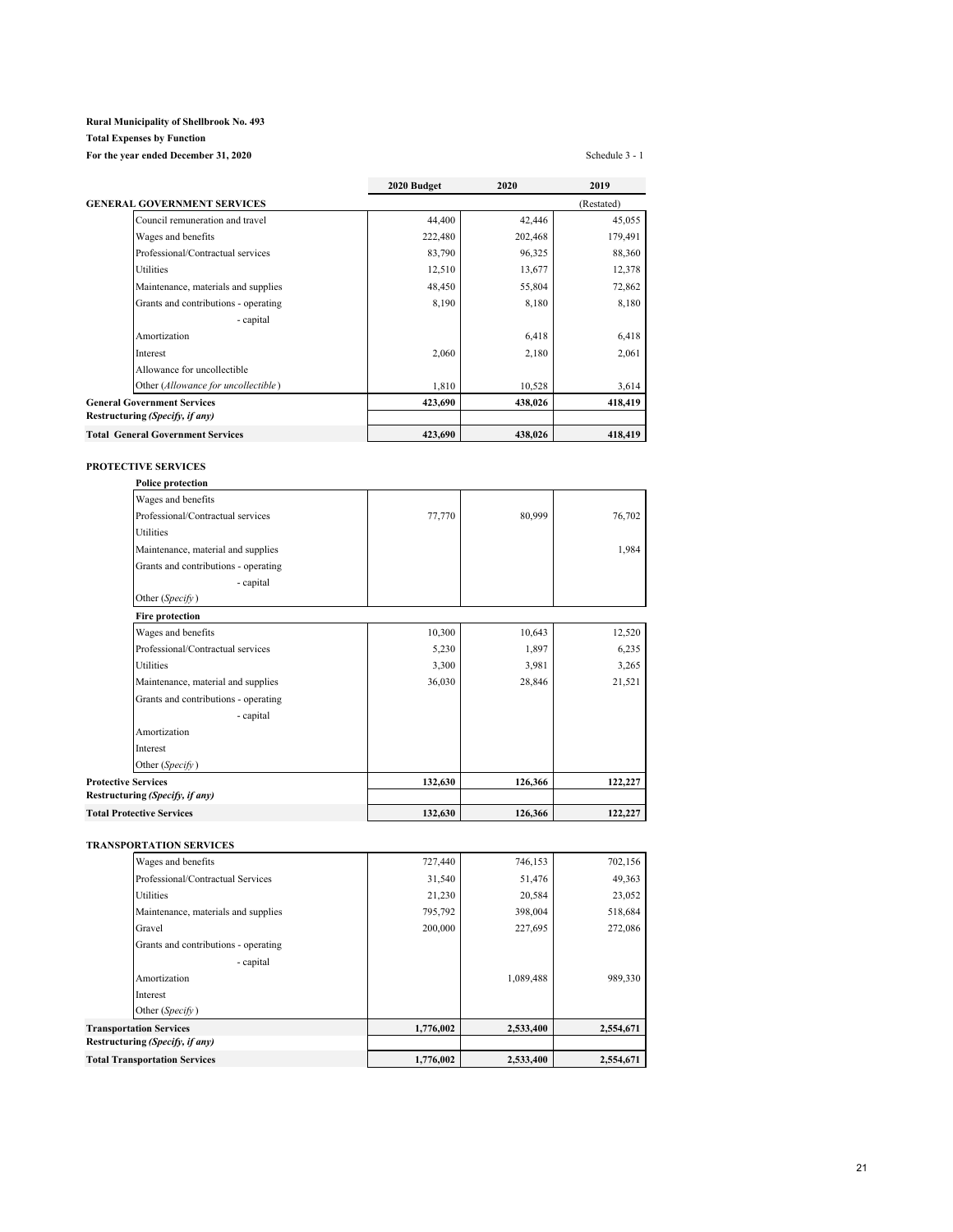#### **Rural Municipality of Shellbrook No. 493 Total Expenses by Function** For the year ended December 31, 2020<br>
Schedule 3 - 1

|                                          | 2020 Budget | 2020    | 2019       |
|------------------------------------------|-------------|---------|------------|
| <b>GENERAL GOVERNMENT SERVICES</b>       |             |         | (Restated) |
| Council remuneration and travel          | 44,400      | 42,446  | 45,055     |
| Wages and benefits                       | 222,480     | 202,468 | 179,491    |
| Professional/Contractual services        | 83,790      | 96,325  | 88,360     |
| <b>Utilities</b>                         | 12,510      | 13,677  | 12,378     |
| Maintenance, materials and supplies      | 48,450      | 55,804  | 72,862     |
| Grants and contributions - operating     | 8,190       | 8,180   | 8,180      |
| - capital                                |             |         |            |
| Amortization                             |             | 6,418   | 6,418      |
| Interest                                 | 2,060       | 2,180   | 2,061      |
| Allowance for uncollectible              |             |         |            |
| Other (Allowance for uncollectible)      | 1,810       | 10,528  | 3,614      |
| <b>General Government Services</b>       | 423.690     | 438,026 | 418,419    |
| Restructuring (Specify, if any)          |             |         |            |
| <b>Total General Government Services</b> | 423,690     | 438,026 | 418,419    |

## **PROTECTIVE SERVICES**

| <b>Police protection</b>             |         |         |         |
|--------------------------------------|---------|---------|---------|
| Wages and benefits                   |         |         |         |
| Professional/Contractual services    | 77,770  | 80,999  | 76,702  |
| Utilities                            |         |         |         |
| Maintenance, material and supplies   |         |         | 1,984   |
| Grants and contributions - operating |         |         |         |
| - capital                            |         |         |         |
| Other (Specify)                      |         |         |         |
| <b>Fire protection</b>               |         |         |         |
| Wages and benefits                   | 10,300  | 10,643  | 12,520  |
| Professional/Contractual services    | 5,230   | 1,897   | 6,235   |
| Utilities                            | 3,300   | 3,981   | 3,265   |
| Maintenance, material and supplies   | 36,030  | 28,846  | 21,521  |
| Grants and contributions - operating |         |         |         |
| - capital                            |         |         |         |
| Amortization                         |         |         |         |
| Interest                             |         |         |         |
| Other (Specify)                      |         |         |         |
| <b>Protective Services</b>           | 132,630 | 126,366 | 122,227 |
| Restructuring (Specify, if any)      |         |         |         |
| <b>Total Protective Services</b>     | 132,630 | 126,366 | 122,227 |

#### **TRANSPORTATION SERVICES**

| <b>Total Transportation Services</b> | 1,776,002 | 2,533,400 | 2,554,671 |
|--------------------------------------|-----------|-----------|-----------|
| Restructuring (Specify, if any)      |           |           |           |
| <b>Transportation Services</b>       | 1,776,002 | 2,533,400 | 2,554,671 |
| Other (Specify)                      |           |           |           |
| Interest                             |           |           |           |
| Amortization                         |           | 1,089,488 | 989,330   |
| - capital                            |           |           |           |
| Grants and contributions - operating |           |           |           |
| Gravel                               | 200,000   | 227,695   | 272,086   |
| Maintenance, materials and supplies  | 795,792   | 398,004   | 518,684   |
| <b>Utilities</b>                     | 21,230    | 20,584    | 23,052    |
| Professional/Contractual Services    | 31,540    | 51,476    | 49,363    |
| Wages and benefits                   | 727,440   | 746,153   | 702,156   |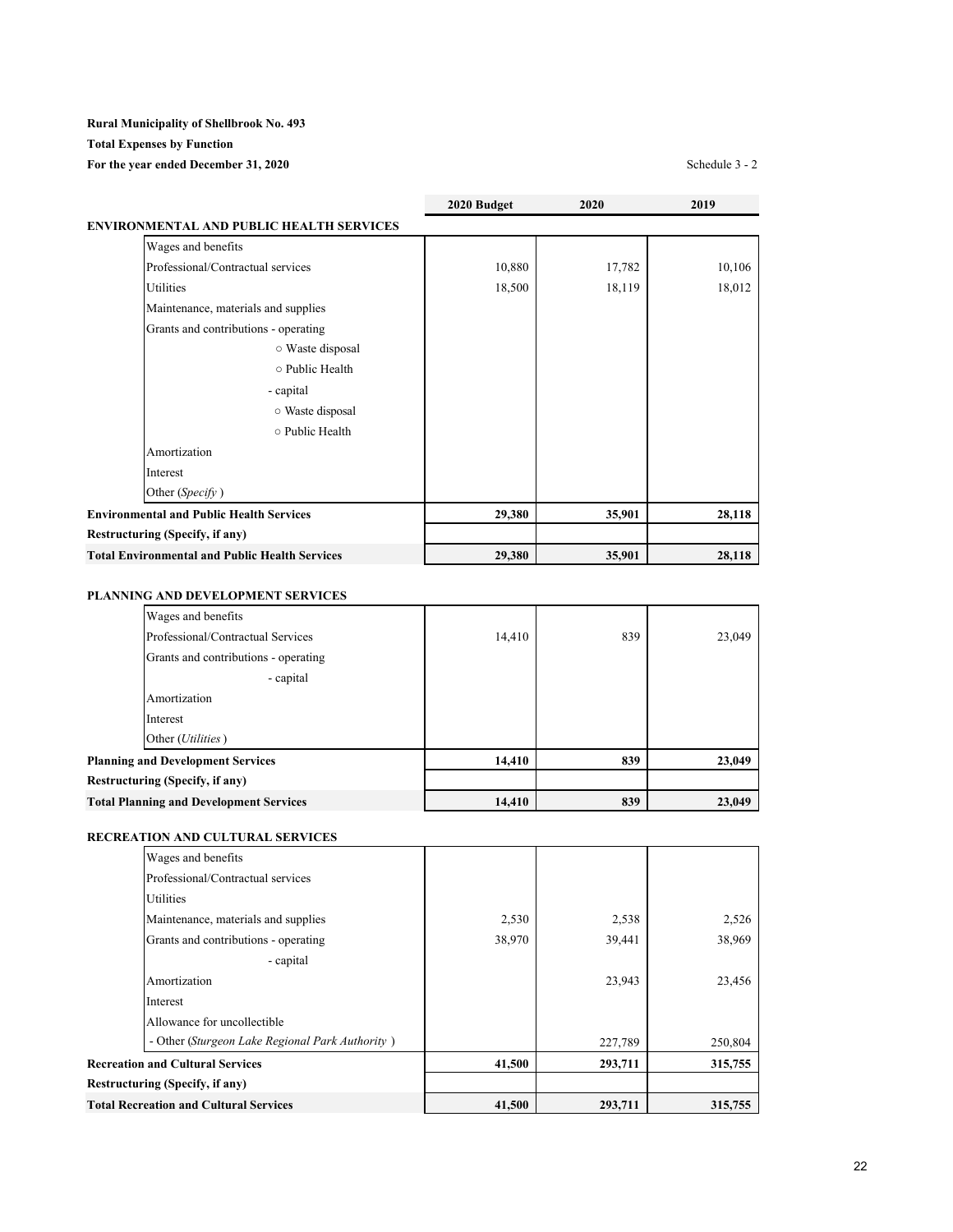## **Rural Municipality of Shellbrook No. 493 Total Expenses by Function** For the year ended December 31, 2020 Schedule 3 - 2

|                                                       | 2020 Budget | 2020   | 2019   |
|-------------------------------------------------------|-------------|--------|--------|
| <b>ENVIRONMENTAL AND PUBLIC HEALTH SERVICES</b>       |             |        |        |
| Wages and benefits                                    |             |        |        |
| Professional/Contractual services                     | 10,880      | 17,782 | 10,106 |
| Utilities                                             | 18,500      | 18,119 | 18,012 |
| Maintenance, materials and supplies                   |             |        |        |
| Grants and contributions - operating                  |             |        |        |
| o Waste disposal                                      |             |        |        |
| o Public Health                                       |             |        |        |
| - capital                                             |             |        |        |
| O Waste disposal                                      |             |        |        |
| o Public Health                                       |             |        |        |
| Amortization                                          |             |        |        |
| Interest                                              |             |        |        |
| Other (Specify)                                       |             |        |        |
| <b>Environmental and Public Health Services</b>       | 29,380      | 35,901 | 28,118 |
| Restructuring (Specify, if any)                       |             |        |        |
| <b>Total Environmental and Public Health Services</b> | 29,380      | 35,901 | 28,118 |

### **PLANNING AND DEVELOPMENT SERVICES**

| Wages and benefits                             |        |     |        |
|------------------------------------------------|--------|-----|--------|
| Professional/Contractual Services              | 14,410 | 839 | 23,049 |
| Grants and contributions - operating           |        |     |        |
| - capital                                      |        |     |        |
| Amortization                                   |        |     |        |
| Interest                                       |        |     |        |
| Other ( <i>Utilities</i> )                     |        |     |        |
| <b>Planning and Development Services</b>       | 14,410 | 839 | 23,049 |
| <b>Restructuring (Specify, if any)</b>         |        |     |        |
| <b>Total Planning and Development Services</b> | 14,410 | 839 | 23,049 |

## **RECREATION AND CULTURAL SERVICES**

| Wages and benefits                              |        |         |         |
|-------------------------------------------------|--------|---------|---------|
| Professional/Contractual services               |        |         |         |
| Utilities                                       |        |         |         |
| Maintenance, materials and supplies             | 2,530  | 2,538   | 2,526   |
| Grants and contributions - operating            | 38,970 | 39,441  | 38,969  |
| - capital                                       |        |         |         |
| Amortization                                    |        | 23,943  | 23,456  |
| Interest                                        |        |         |         |
| Allowance for uncollectible                     |        |         |         |
| - Other (Sturgeon Lake Regional Park Authority) |        | 227,789 | 250,804 |
| <b>Recreation and Cultural Services</b>         | 41,500 | 293,711 | 315,755 |
| Restructuring (Specify, if any)                 |        |         |         |
| <b>Total Recreation and Cultural Services</b>   | 41,500 | 293,711 | 315,755 |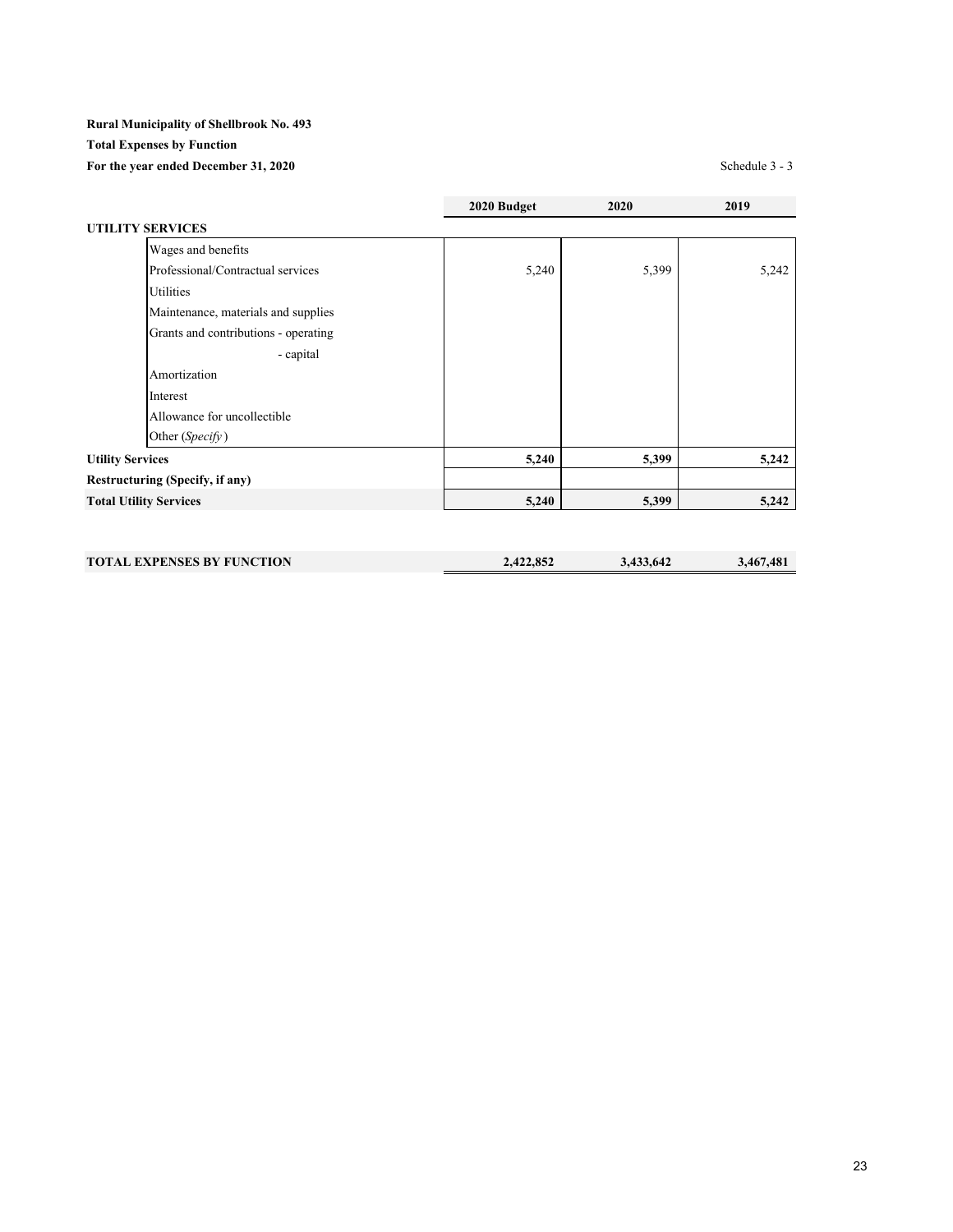## **Rural Municipality of Shellbrook No. 493 Total Expenses by Function** For the year ended December 31, 2020 Schedule 3 - 3

|                                      | 2020 Budget | 2020  | 2019  |
|--------------------------------------|-------------|-------|-------|
| <b>UTILITY SERVICES</b>              |             |       |       |
| Wages and benefits                   |             |       |       |
| Professional/Contractual services    | 5,240       | 5,399 | 5,242 |
| Utilities                            |             |       |       |
| Maintenance, materials and supplies  |             |       |       |
| Grants and contributions - operating |             |       |       |
| - capital                            |             |       |       |
| Amortization                         |             |       |       |
| Interest                             |             |       |       |
| Allowance for uncollectible          |             |       |       |
| Other (Specify)                      |             |       |       |
| <b>Utility Services</b>              | 5,240       | 5,399 | 5,242 |
| Restructuring (Specify, if any)      |             |       |       |
| <b>Total Utility Services</b>        | 5,240       | 5,399 | 5,242 |

| <b>TOTAL EXPENSES BY FUNCTION</b> | 2,422,852 | 3,433,642 | 3,467,481 |
|-----------------------------------|-----------|-----------|-----------|
|                                   |           |           |           |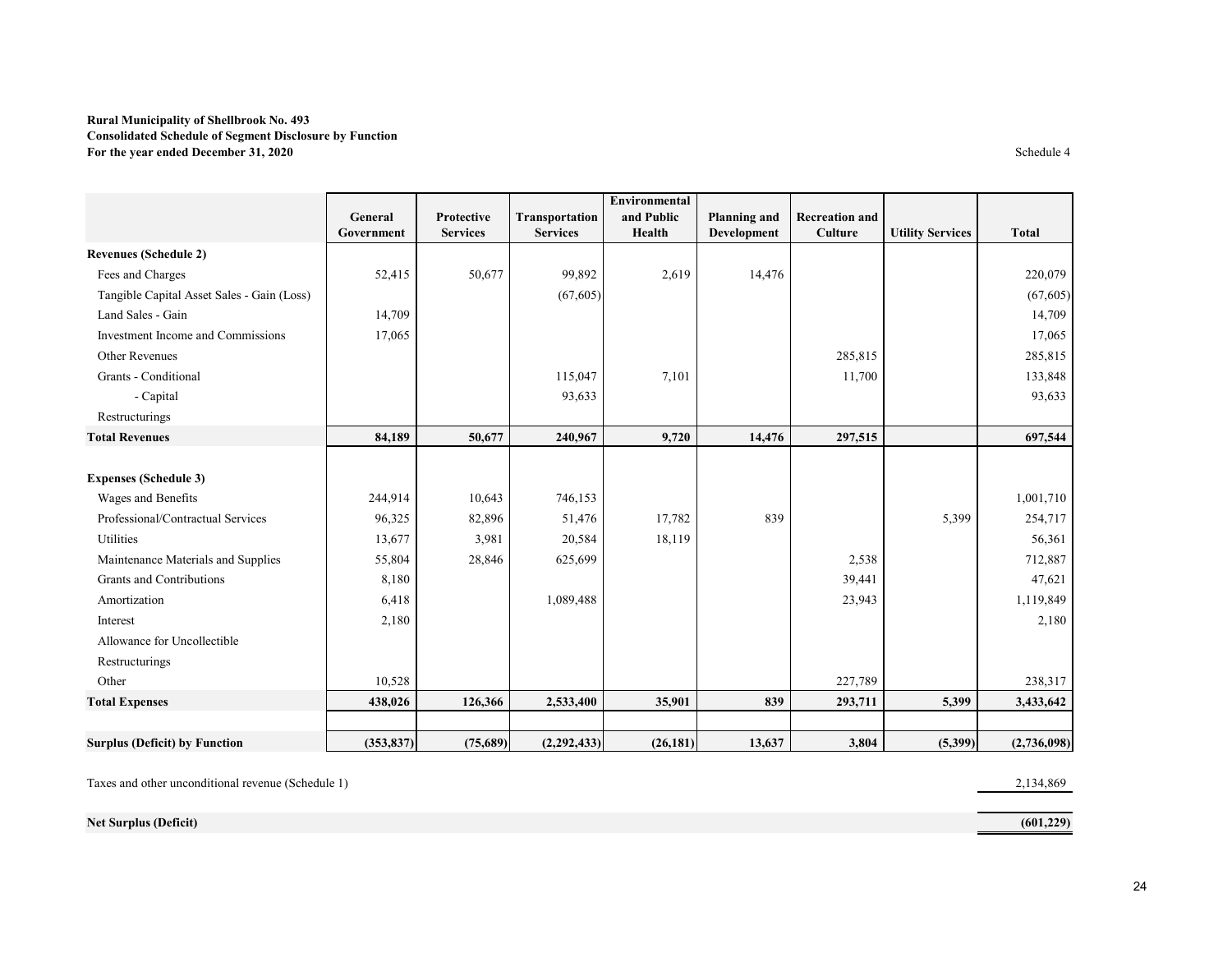#### **Rural Municipality of Shellbrook No. 493 Consolidated Schedule of Segment Disclosure by Function** For the year ended December 31, 2020 Schedule 4

|                                            | General    | <b>Protective</b> | Transportation  | <b>Environmental</b><br>and Public | <b>Planning and</b> | <b>Recreation and</b> |                         |              |
|--------------------------------------------|------------|-------------------|-----------------|------------------------------------|---------------------|-----------------------|-------------------------|--------------|
|                                            | Government | <b>Services</b>   | <b>Services</b> | Health                             | <b>Development</b>  | Culture               | <b>Utility Services</b> | <b>Total</b> |
| <b>Revenues (Schedule 2)</b>               |            |                   |                 |                                    |                     |                       |                         |              |
| Fees and Charges                           | 52,415     | 50,677            | 99,892          | 2,619                              | 14,476              |                       |                         | 220,079      |
| Tangible Capital Asset Sales - Gain (Loss) |            |                   | (67, 605)       |                                    |                     |                       |                         | (67, 605)    |
| Land Sales - Gain                          | 14,709     |                   |                 |                                    |                     |                       |                         | 14,709       |
| Investment Income and Commissions          | 17,065     |                   |                 |                                    |                     |                       |                         | 17,065       |
| Other Revenues                             |            |                   |                 |                                    |                     | 285,815               |                         | 285,815      |
| Grants - Conditional                       |            |                   | 115,047         | 7,101                              |                     | 11,700                |                         | 133,848      |
| - Capital                                  |            |                   | 93,633          |                                    |                     |                       |                         | 93,633       |
| Restructurings                             |            |                   |                 |                                    |                     |                       |                         |              |
| <b>Total Revenues</b>                      | 84,189     | 50,677            | 240,967         | 9,720                              | 14,476              | 297,515               |                         | 697,544      |
|                                            |            |                   |                 |                                    |                     |                       |                         |              |
| <b>Expenses (Schedule 3)</b>               |            |                   |                 |                                    |                     |                       |                         |              |
| Wages and Benefits                         | 244,914    | 10,643            | 746,153         |                                    |                     |                       |                         | 1,001,710    |
| Professional/Contractual Services          | 96,325     | 82,896            | 51,476          | 17,782                             | 839                 |                       | 5,399                   | 254,717      |
| Utilities                                  | 13,677     | 3,981             | 20,584          | 18,119                             |                     |                       |                         | 56,361       |
| Maintenance Materials and Supplies         | 55,804     | 28,846            | 625,699         |                                    |                     | 2,538                 |                         | 712,887      |
| Grants and Contributions                   | 8,180      |                   |                 |                                    |                     | 39,441                |                         | 47,621       |
| Amortization                               | 6,418      |                   | 1,089,488       |                                    |                     | 23,943                |                         | 1,119,849    |
| Interest                                   | 2,180      |                   |                 |                                    |                     |                       |                         | 2,180        |
| Allowance for Uncollectible                |            |                   |                 |                                    |                     |                       |                         |              |
| Restructurings                             |            |                   |                 |                                    |                     |                       |                         |              |
| Other                                      | 10,528     |                   |                 |                                    |                     | 227,789               |                         | 238,317      |
| <b>Total Expenses</b>                      | 438,026    | 126,366           | 2,533,400       | 35,901                             | 839                 | 293,711               | 5,399                   | 3,433,642    |
|                                            |            |                   |                 |                                    |                     |                       |                         |              |
| <b>Surplus (Deficit) by Function</b>       | (353, 837) | (75,689)          | (2, 292, 433)   | (26, 181)                          | 13,637              | 3,804                 | (5,399)                 | (2,736,098)  |

Taxes and other unconditional revenue (Schedule 1) 2,134,869

**Net Surplus (Deficit) (601,229)**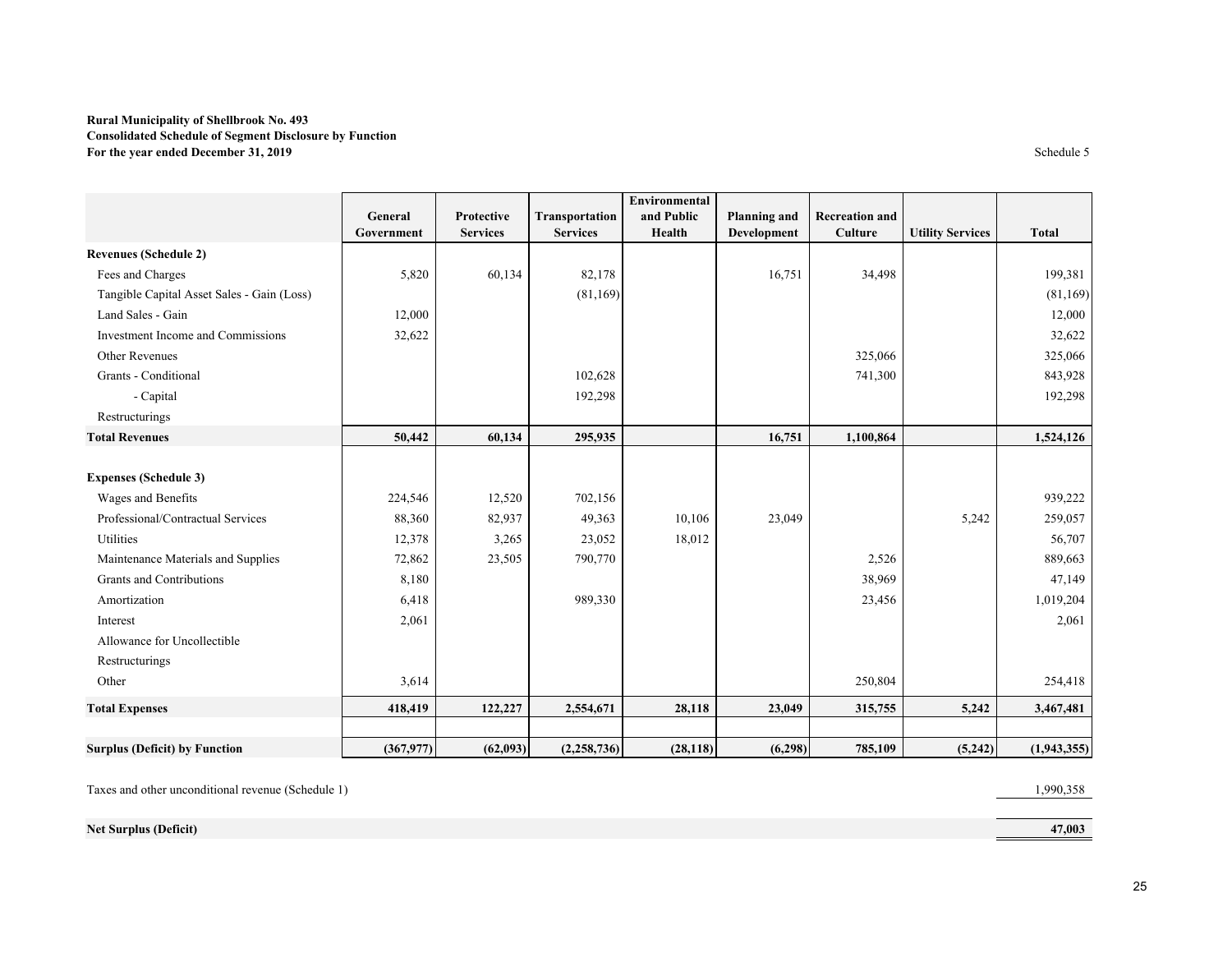### **Rural Municipality of Shellbrook No. 493 Consolidated Schedule of Segment Disclosure by Function** For the year ended December 31, 2019<br>Schedule 5

|                                            |            |                 |                 | Environmental |                     |                       |                         |              |
|--------------------------------------------|------------|-----------------|-----------------|---------------|---------------------|-----------------------|-------------------------|--------------|
|                                            | General    | Protective      | Transportation  | and Public    | <b>Planning and</b> | <b>Recreation and</b> |                         |              |
|                                            | Government | <b>Services</b> | <b>Services</b> | Health        | <b>Development</b>  | Culture               | <b>Utility Services</b> | <b>Total</b> |
| <b>Revenues (Schedule 2)</b>               |            |                 |                 |               |                     |                       |                         |              |
| Fees and Charges                           | 5,820      | 60,134          | 82,178          |               | 16,751              | 34,498                |                         | 199,381      |
| Tangible Capital Asset Sales - Gain (Loss) |            |                 | (81, 169)       |               |                     |                       |                         | (81, 169)    |
| Land Sales - Gain                          | 12,000     |                 |                 |               |                     |                       |                         | 12,000       |
| Investment Income and Commissions          | 32,622     |                 |                 |               |                     |                       |                         | 32,622       |
| Other Revenues                             |            |                 |                 |               |                     | 325,066               |                         | 325,066      |
| Grants - Conditional                       |            |                 | 102,628         |               |                     | 741,300               |                         | 843,928      |
| - Capital                                  |            |                 | 192,298         |               |                     |                       |                         | 192,298      |
| Restructurings                             |            |                 |                 |               |                     |                       |                         |              |
| <b>Total Revenues</b>                      | 50,442     | 60,134          | 295,935         |               | 16,751              | 1,100,864             |                         | 1,524,126    |
|                                            |            |                 |                 |               |                     |                       |                         |              |
| <b>Expenses (Schedule 3)</b>               |            |                 |                 |               |                     |                       |                         |              |
| Wages and Benefits                         | 224,546    | 12,520          | 702,156         |               |                     |                       |                         | 939,222      |
| Professional/Contractual Services          | 88,360     | 82,937          | 49,363          | 10,106        | 23,049              |                       | 5,242                   | 259,057      |
| Utilities                                  | 12,378     | 3,265           | 23,052          | 18,012        |                     |                       |                         | 56,707       |
| Maintenance Materials and Supplies         | 72,862     | 23,505          | 790,770         |               |                     | 2,526                 |                         | 889,663      |
| Grants and Contributions                   | 8,180      |                 |                 |               |                     | 38,969                |                         | 47,149       |
| Amortization                               | 6,418      |                 | 989,330         |               |                     | 23,456                |                         | 1,019,204    |
| Interest                                   | 2,061      |                 |                 |               |                     |                       |                         | 2,061        |
| Allowance for Uncollectible                |            |                 |                 |               |                     |                       |                         |              |
| Restructurings                             |            |                 |                 |               |                     |                       |                         |              |
| Other                                      | 3,614      |                 |                 |               |                     | 250,804               |                         | 254,418      |
| <b>Total Expenses</b>                      | 418,419    | 122,227         | 2,554,671       | 28,118        | 23,049              | 315,755               | 5,242                   | 3,467,481    |
| <b>Surplus (Deficit) by Function</b>       | (367, 977) | (62,093)        | (2,258,736)     | (28, 118)     | (6,298)             | 785,109               | (5,242)                 | (1,943,355)  |

Taxes and other unconditional revenue (Schedule 1) 1,990,358

**Net Surplus (Deficit) 47,003**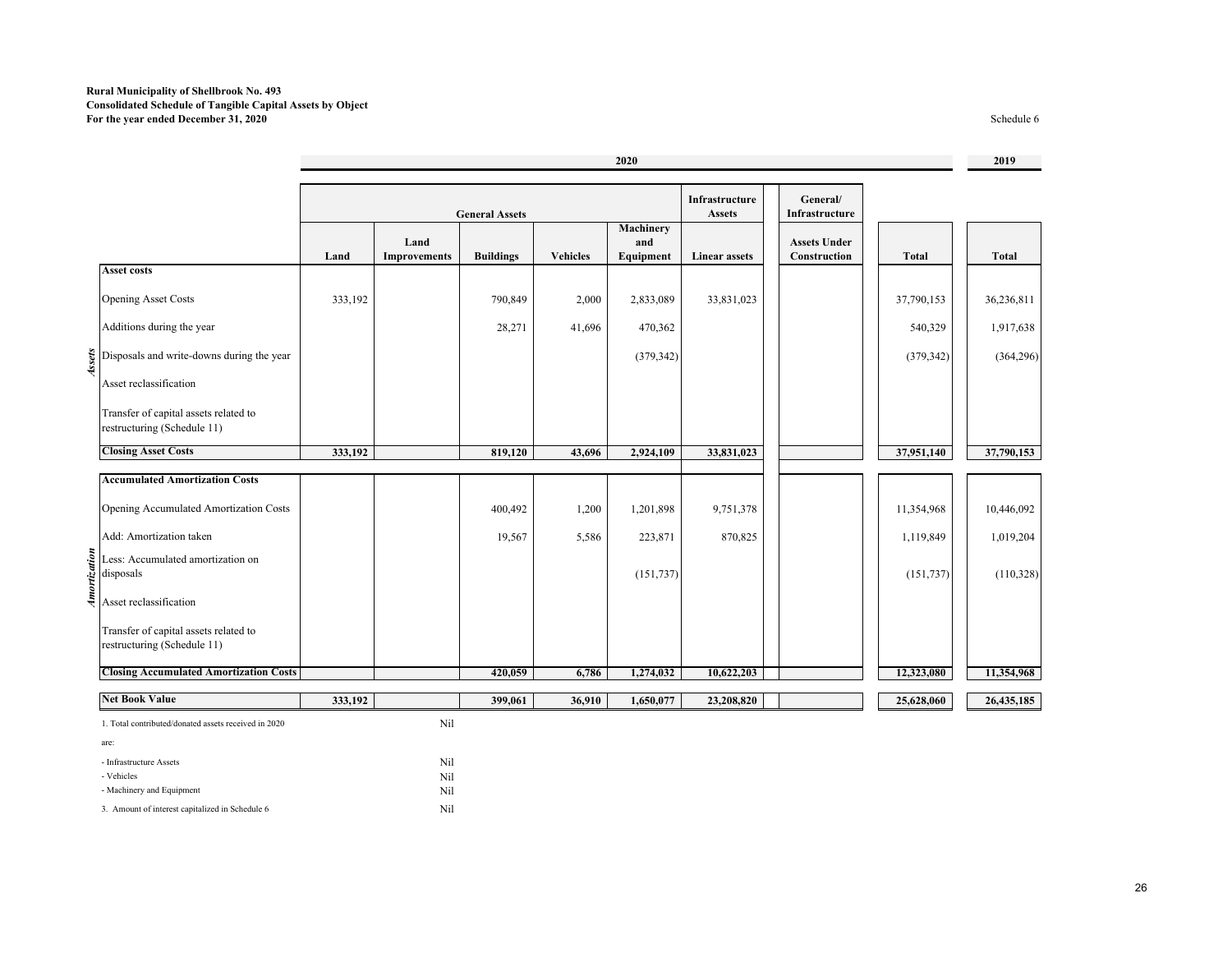#### **Rural Municipality of Shellbrook No. 493 Consolidated Schedule of Tangible Capital Assets by Object For the year ended December 31, 2020** Schedule 6

|              |                                                                      |         |                      | <b>General Assets</b> |                 |                               | Infrastructure<br><b>Assets</b> | General/<br>Infrastructure          |              |              |
|--------------|----------------------------------------------------------------------|---------|----------------------|-----------------------|-----------------|-------------------------------|---------------------------------|-------------------------------------|--------------|--------------|
|              |                                                                      | Land    | Land<br>Improvements | <b>Buildings</b>      | <b>Vehicles</b> | Machinery<br>and<br>Equipment | <b>Linear</b> assets            | <b>Assets Under</b><br>Construction | <b>Total</b> | <b>Total</b> |
|              | Asset costs                                                          |         |                      |                       |                 |                               |                                 |                                     |              |              |
|              | Opening Asset Costs                                                  | 333,192 |                      | 790,849               | 2,000           | 2,833,089                     | 33,831,023                      |                                     | 37,790,153   | 36,236,811   |
|              | Additions during the year                                            |         |                      | 28,271                | 41,696          | 470,362                       |                                 |                                     | 540,329      | 1,917,638    |
| Assets       | Disposals and write-downs during the year                            |         |                      |                       |                 | (379, 342)                    |                                 |                                     | (379, 342)   | (364, 296)   |
|              | Asset reclassification                                               |         |                      |                       |                 |                               |                                 |                                     |              |              |
|              | Transfer of capital assets related to<br>restructuring (Schedule 11) |         |                      |                       |                 |                               |                                 |                                     |              |              |
|              | <b>Closing Asset Costs</b>                                           | 333,192 |                      | 819,120               | 43,696          | 2,924,109                     | 33,831,023                      |                                     | 37,951,140   | 37,790,153   |
|              |                                                                      |         |                      |                       |                 |                               |                                 |                                     |              |              |
|              | <b>Accumulated Amortization Costs</b>                                |         |                      |                       |                 |                               |                                 |                                     |              |              |
|              | Opening Accumulated Amortization Costs                               |         |                      | 400,492               | 1,200           | 1,201,898                     | 9,751,378                       |                                     | 11,354,968   | 10,446,092   |
|              | Add: Amortization taken                                              |         |                      | 19,567                | 5,586           | 223,871                       | 870,825                         |                                     | 1,119,849    | 1,019,204    |
| Amortization | Less: Accumulated amortization on<br>disposals                       |         |                      |                       |                 | (151, 737)                    |                                 |                                     | (151, 737)   | (110,328)    |
|              | Asset reclassification                                               |         |                      |                       |                 |                               |                                 |                                     |              |              |
|              | Transfer of capital assets related to<br>restructuring (Schedule 11) |         |                      |                       |                 |                               |                                 |                                     |              |              |
|              | <b>Closing Accumulated Amortization Costs</b>                        |         |                      | 420,059               | 6,786           | 1,274,032                     | 10,622,203                      |                                     | 12,323,080   | 11,354,968   |
|              | <b>Net Book Value</b>                                                | 333,192 |                      | 399,061               | 36,910          | 1,650,077                     | 23,208,820                      |                                     | 25,628,060   | 26,435,185   |
|              | 1. Total contributed/donated assets received in 2020                 |         | Nil                  |                       |                 |                               |                                 |                                     |              |              |
|              | are:                                                                 |         |                      |                       |                 |                               |                                 |                                     |              |              |
|              | - Infrastructure Assets                                              |         | Nil                  |                       |                 |                               |                                 |                                     |              |              |
|              | - Vehicles                                                           |         | Nil                  |                       |                 |                               |                                 |                                     |              |              |
|              | - Machinery and Equipment                                            |         | Nil                  |                       |                 |                               |                                 |                                     |              |              |

**2020**

3. Amount of interest capitalized in Schedule 6 Nil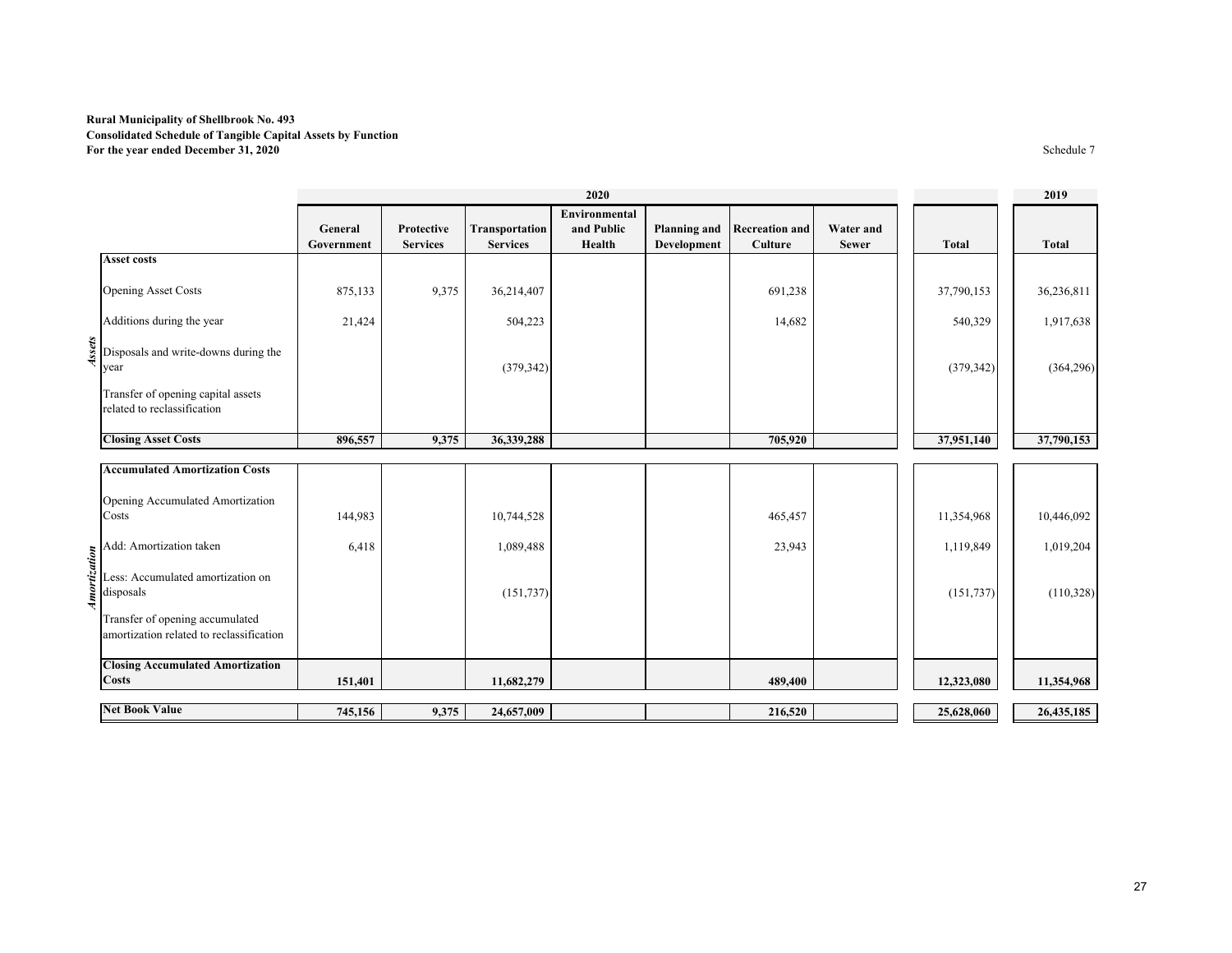#### **Rural Municipality of Shellbrook No. 493 Consolidated Schedule of Tangible Capital Assets by Function For the year ended December 31, 2020** Schedule 7

|                                                                                                                                     |                       |                               |                                   | 2020                                  |                                    |                                  |                                  |              | 2019         |
|-------------------------------------------------------------------------------------------------------------------------------------|-----------------------|-------------------------------|-----------------------------------|---------------------------------------|------------------------------------|----------------------------------|----------------------------------|--------------|--------------|
|                                                                                                                                     | General<br>Government | Protective<br><b>Services</b> | Transportation<br><b>Services</b> | Environmental<br>and Public<br>Health | <b>Planning and</b><br>Development | <b>Recreation and</b><br>Culture | <b>Water</b> and<br><b>Sewer</b> | <b>Total</b> | <b>Total</b> |
| <b>Asset costs</b>                                                                                                                  |                       |                               |                                   |                                       |                                    |                                  |                                  |              |              |
| <b>Opening Asset Costs</b>                                                                                                          | 875,133               | 9,375                         | 36,214,407                        |                                       |                                    | 691,238                          |                                  | 37,790,153   | 36,236,811   |
| Additions during the year                                                                                                           | 21,424                |                               | 504,223                           |                                       |                                    | 14,682                           |                                  | 540,329      | 1,917,638    |
| $\frac{1}{\sqrt{2}}$ Disposals and write-downs during the year<br>Transfer of opening capital assets<br>related to reclassification |                       |                               | (379, 342)                        |                                       |                                    |                                  |                                  | (379, 342)   | (364, 296)   |
| <b>Closing Asset Costs</b>                                                                                                          | 896,557               | 9,375                         | 36,339,288                        |                                       |                                    | 705,920                          |                                  | 37,951,140   | 37,790,153   |
| <b>Accumulated Amortization Costs</b>                                                                                               |                       |                               |                                   |                                       |                                    |                                  |                                  |              |              |
| Opening Accumulated Amortization<br>Costs                                                                                           | 144,983               |                               | 10,744,528                        |                                       |                                    | 465,457                          |                                  | 11,354,968   | 10,446,092   |
|                                                                                                                                     | 6,418                 |                               | 1,089,488                         |                                       |                                    | 23,943                           |                                  | 1,119,849    | 1,019,204    |
| Add: Amortization taken<br>Less: Accumulated amortization on<br>$\frac{1}{2}$ disposals<br>$\frac{1}{2}$                            |                       |                               | (151, 737)                        |                                       |                                    |                                  |                                  | (151, 737)   | (110, 328)   |
| Transfer of opening accumulated<br>amortization related to reclassification                                                         |                       |                               |                                   |                                       |                                    |                                  |                                  |              |              |
| <b>Closing Accumulated Amortization</b><br><b>Costs</b>                                                                             | 151,401               |                               | 11,682,279                        |                                       |                                    | 489,400                          |                                  | 12,323,080   | 11,354,968   |
| <b>Net Book Value</b>                                                                                                               | 745,156               | 9,375                         | 24,657,009                        |                                       |                                    | 216,520                          |                                  | 25,628,060   | 26,435,185   |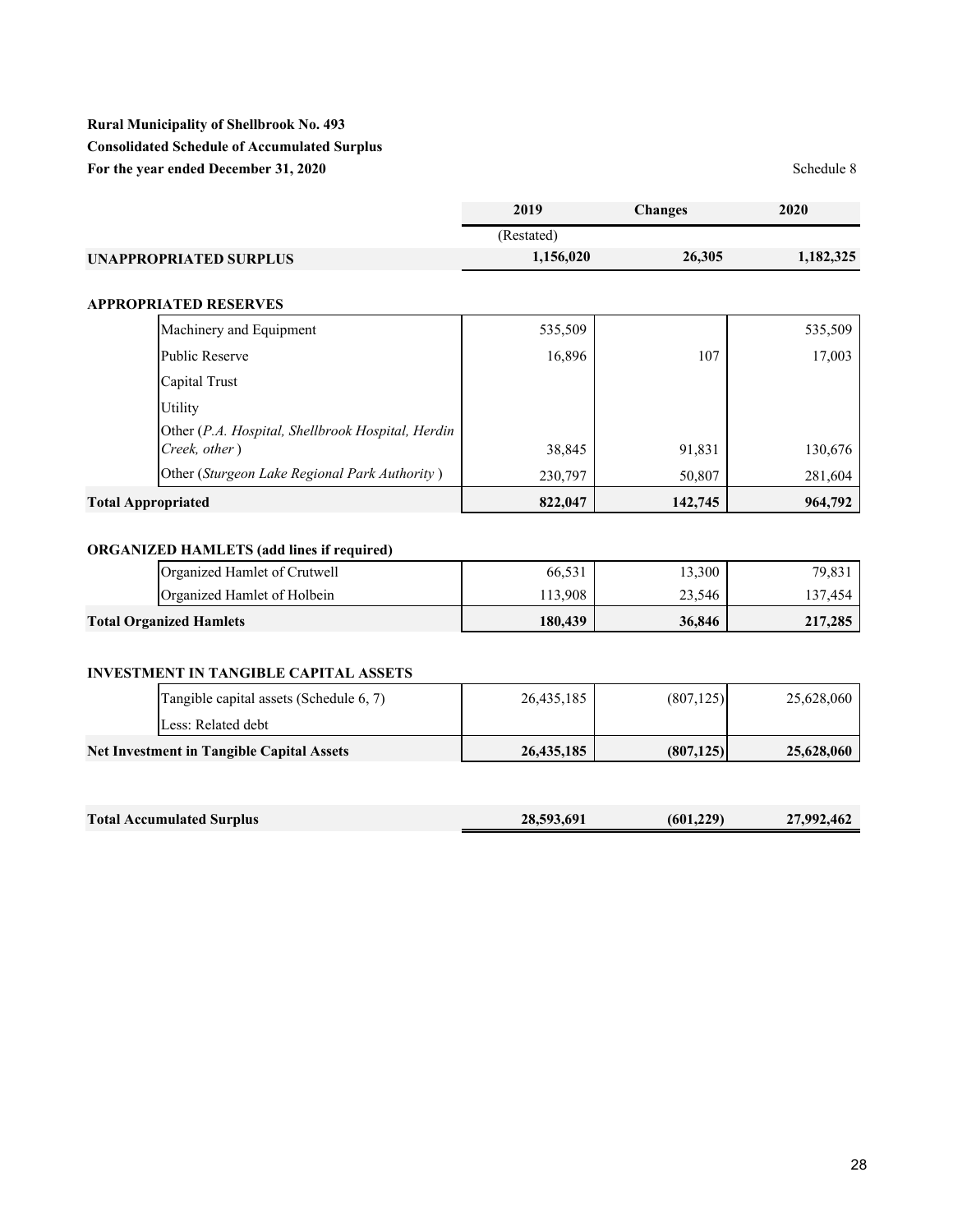## **Rural Municipality of Shellbrook No. 493 Consolidated Schedule of Accumulated Surplus** For the year ended December 31, 2020 Schedule 8

|                        | 2019       | <b>Changes</b> | 2020      |
|------------------------|------------|----------------|-----------|
|                        | (Restated) |                |           |
| UNAPPROPRIATED SURPLUS | 1,156,020  | 26,305         | 1,182,325 |

## **APPROPRIATED RESERVES**

| Other (Sturgeon Lake Regional Park Authority)                      | 230,797 | 50,807 | 281,604 |
|--------------------------------------------------------------------|---------|--------|---------|
| Other (P.A. Hospital, Shellbrook Hospital, Herdin<br>Creek, other) | 38,845  | 91,831 | 130,676 |
| Utility                                                            |         |        |         |
| Capital Trust                                                      |         |        |         |
| <b>Public Reserve</b>                                              | 16,896  | 107    | 17,003  |
| Machinery and Equipment                                            | 535,509 |        | 535,509 |

## **ORGANIZED HAMLETS (add lines if required)**

| <b>Total Organized Hamlets</b> | 180,439 | 36,846 | 217,285 |
|--------------------------------|---------|--------|---------|
| Organized Hamlet of Holbein    | 113.908 | 23.546 | 137.454 |
| Organized Hamlet of Crutwell   | 66,531  | 13,300 | 79,831  |

## **INVESTMENT IN TANGIBLE CAPITAL ASSETS**

| Tangible capital assets (Schedule 6, 7)          | 26,435,185 | (807, 125) | 25,628,060 |
|--------------------------------------------------|------------|------------|------------|
| Less: Related debt                               |            |            |            |
| <b>Net Investment in Tangible Capital Assets</b> | 26,435,185 | (807, 125) | 25,628,060 |

| <b>Total Accumulated Surplus</b> | 28,593,691 | (601, 229) | 27,992,462 |
|----------------------------------|------------|------------|------------|
|                                  |            |            |            |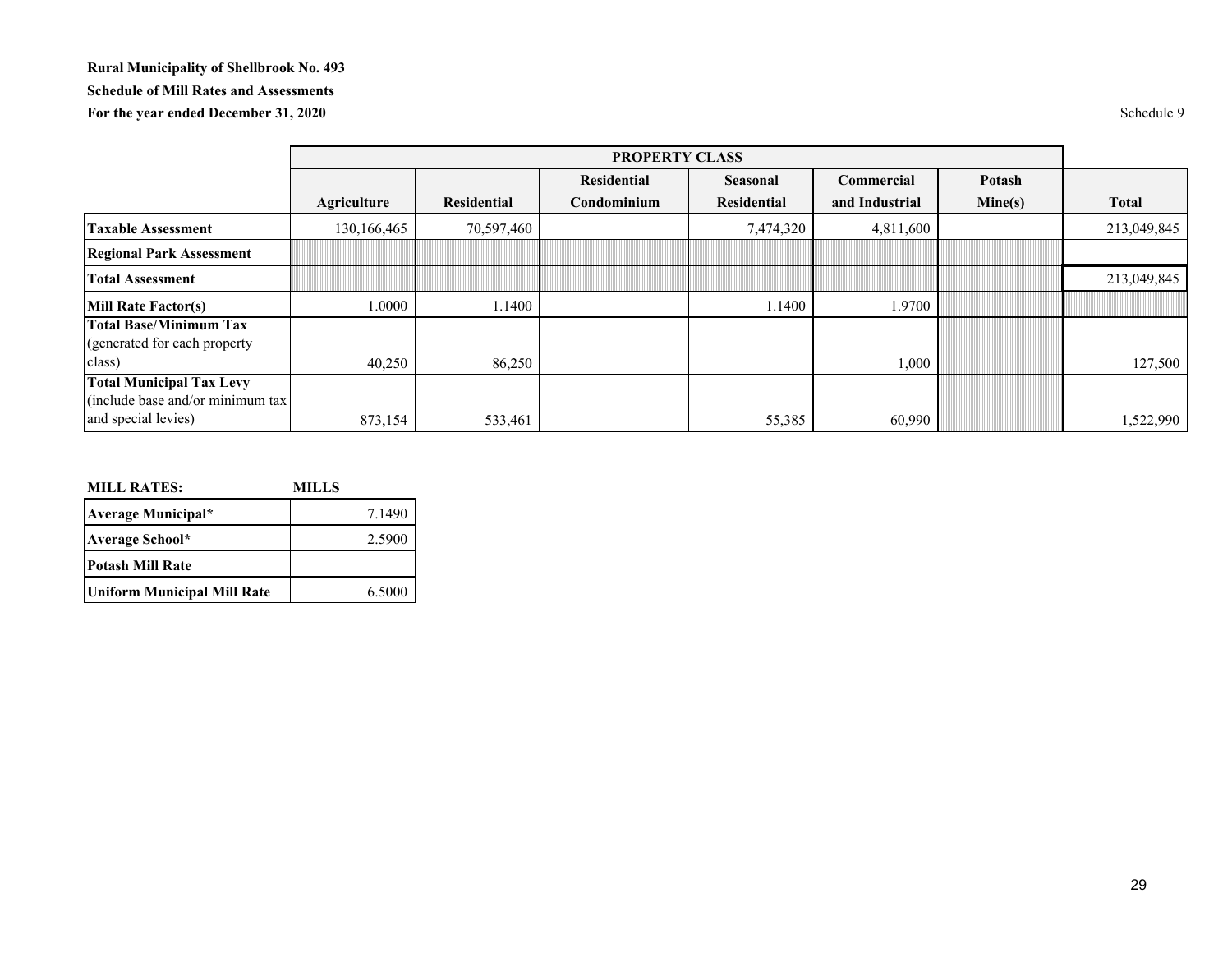## **Rural Municipality of Shellbrook No. 493 Schedule of Mill Rates and Assessments** For the year ended December 31, 2020 Schedule 9

|                                  | <b>PROPERTY CLASS</b> |                    |                    |                    |                |         |              |
|----------------------------------|-----------------------|--------------------|--------------------|--------------------|----------------|---------|--------------|
|                                  |                       |                    | <b>Residential</b> | <b>Seasonal</b>    | Commercial     | Potash  |              |
|                                  | <b>Agriculture</b>    | <b>Residential</b> | Condominium        | <b>Residential</b> | and Industrial | Mine(s) | <b>Total</b> |
| <b>Taxable Assessment</b>        | 130,166,465           | 70,597,460         |                    | 7,474,320          | 4,811,600      |         | 213,049,845  |
| <b>Regional Park Assessment</b>  |                       |                    |                    |                    |                |         |              |
| <b>Total Assessment</b>          |                       |                    |                    |                    |                |         | 213,049,845  |
| <b>Mill Rate Factor(s)</b>       | 1.0000                | 1.1400             |                    | 1.1400             | 1.9700         |         |              |
| Total Base/Minimum Tax           |                       |                    |                    |                    |                |         |              |
| (generated for each property     |                       |                    |                    |                    |                |         |              |
| class)                           | 40,250                | 86,250             |                    |                    | 1,000          |         | 127,500      |
| <b>Total Municipal Tax Levy</b>  |                       |                    |                    |                    |                |         |              |
| (include base and/or minimum tax |                       |                    |                    |                    |                |         |              |
| and special levies)              | 873,154               | 533,461            |                    | 55,385             | 60,990         |         | 1,522,990    |

| <b>MILL RATES:</b>                 | MILLS  |
|------------------------------------|--------|
| <b>Average Municipal*</b>          | 7.1490 |
| <b>Average School*</b>             | 2.5900 |
| <b>Potash Mill Rate</b>            |        |
| <b>Uniform Municipal Mill Rate</b> | 6.5000 |